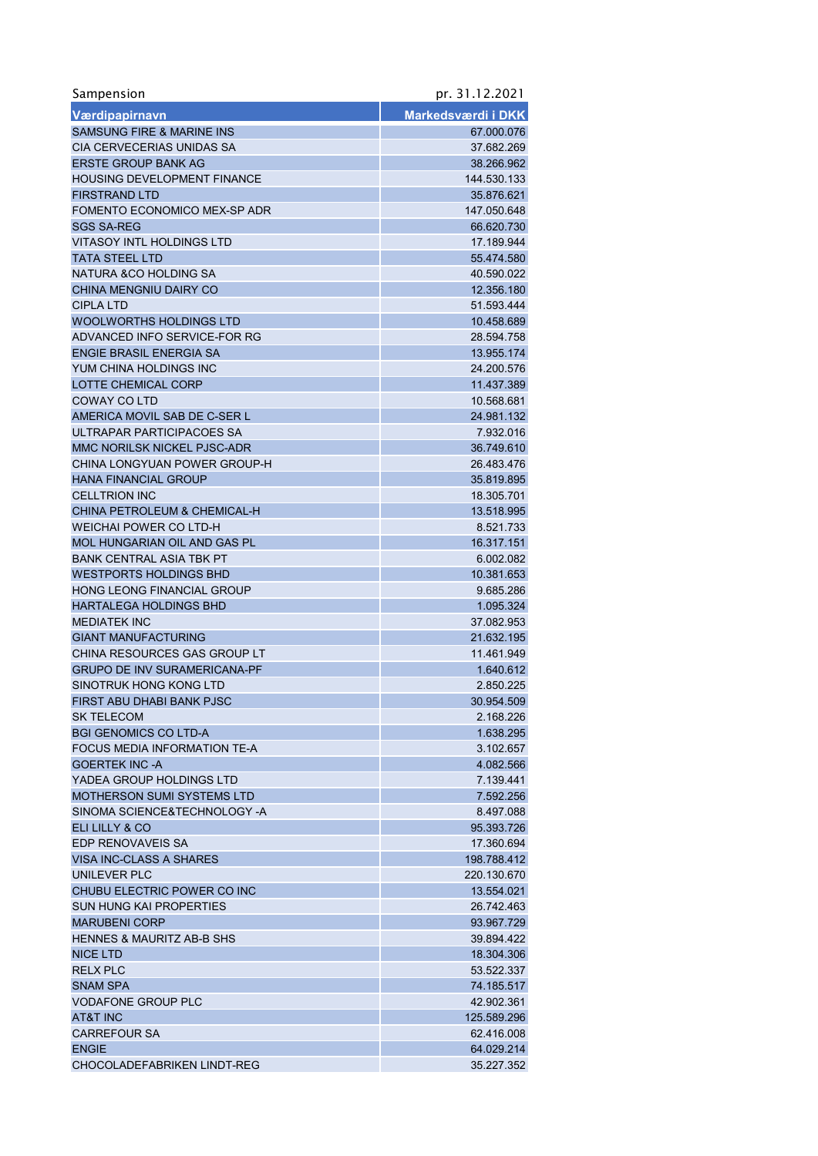| Sampension                           | pr. 31.12.2021     |
|--------------------------------------|--------------------|
| Værdipapirnavn                       | Markedsværdi i DKK |
| <b>SAMSUNG FIRE &amp; MARINE INS</b> | 67.000.076         |
| CIA CERVECERIAS UNIDAS SA            | 37.682.269         |
| <b>ERSTE GROUP BANK AG</b>           | 38.266.962         |
| <b>HOUSING DEVELOPMENT FINANCE</b>   | 144.530.133        |
| <b>FIRSTRAND LTD</b>                 | 35.876.621         |
| FOMENTO ECONOMICO MEX-SP ADR         | 147.050.648        |
| <b>SGS SA-REG</b>                    | 66.620.730         |
| <b>VITASOY INTL HOLDINGS LTD</b>     | 17.189.944         |
| <b>TATA STEEL LTD</b>                | 55.474.580         |
| NATURA & CO HOLDING SA               | 40.590.022         |
| CHINA MENGNIU DAIRY CO               | 12.356.180         |
| <b>CIPLA LTD</b>                     | 51.593.444         |
| WOOLWORTHS HOLDINGS LTD              | 10.458.689         |
| ADVANCED INFO SERVICE-FOR RG         | 28.594.758         |
| <b>ENGIE BRASIL ENERGIA SA</b>       | 13.955.174         |
| YUM CHINA HOLDINGS INC               | 24.200.576         |
| LOTTE CHEMICAL CORP                  | 11.437.389         |
| COWAY CO LTD                         | 10.568.681         |
| AMERICA MOVIL SAB DE C-SER L         | 24.981.132         |
| ULTRAPAR PARTICIPACOES SA            | 7.932.016          |
| MMC NORILSK NICKEL PJSC-ADR          | 36.749.610         |
| CHINA LONGYUAN POWER GROUP-H         | 26.483.476         |
| <b>HANA FINANCIAL GROUP</b>          | 35.819.895         |
| <b>CELLTRION INC</b>                 | 18.305.701         |
| CHINA PETROLEUM & CHEMICAL-H         | 13.518.995         |
| WEICHAI POWER CO LTD-H               | 8.521.733          |
| MOL HUNGARIAN OIL AND GAS PL         | 16.317.151         |
| <b>BANK CENTRAL ASIA TBK PT</b>      | 6.002.082          |
| <b>WESTPORTS HOLDINGS BHD</b>        | 10.381.653         |
| <b>HONG LEONG FINANCIAL GROUP</b>    | 9.685.286          |
| <b>HARTALEGA HOLDINGS BHD</b>        | 1.095.324          |
| <b>MEDIATEK INC</b>                  | 37.082.953         |
| <b>GIANT MANUFACTURING</b>           | 21.632.195         |
| CHINA RESOURCES GAS GROUP LT         | 11.461.949         |
| <b>GRUPO DE INV SURAMERICANA-PF</b>  | 1.640.612          |
| SINOTRUK HONG KONG LTD               | 2.850.225          |
| FIRST ABU DHABI BANK PJSC            | 30.954.509         |
| <b>SK TELECOM</b>                    | 2.168.226          |
| <b>BGI GENOMICS CO LTD-A</b>         | 1.638.295          |
| FOCUS MEDIA INFORMATION TE-A         | 3.102.657          |
| <b>GOERTEK INC -A</b>                | 4.082.566          |
| YADEA GROUP HOLDINGS LTD             | 7.139.441          |
| <b>MOTHERSON SUMI SYSTEMS LTD</b>    | 7.592.256          |
| SINOMA SCIENCE&TECHNOLOGY -A         | 8.497.088          |
| ELI LILLY & CO                       | 95.393.726         |
| EDP RENOVAVEIS SA                    | 17.360.694         |
| VISA INC-CLASS A SHARES              | 198.788.412        |
| UNILEVER PLC                         | 220.130.670        |
| CHUBU ELECTRIC POWER CO INC          | 13.554.021         |
| <b>SUN HUNG KAI PROPERTIES</b>       | 26.742.463         |
| <b>MARUBENI CORP</b>                 | 93.967.729         |
| <b>HENNES &amp; MAURITZ AB-B SHS</b> | 39.894.422         |
| <b>NICE LTD</b>                      | 18.304.306         |
| <b>RELX PLC</b>                      | 53.522.337         |
| <b>SNAM SPA</b>                      | 74.185.517         |
| <b>VODAFONE GROUP PLC</b>            | 42.902.361         |
| <b>AT&amp;T INC</b>                  | 125.589.296        |
| <b>CARREFOUR SA</b>                  | 62.416.008         |
| <b>ENGIE</b>                         | 64.029.214         |
| CHOCOLADEFABRIKEN LINDT-REG          | 35.227.352         |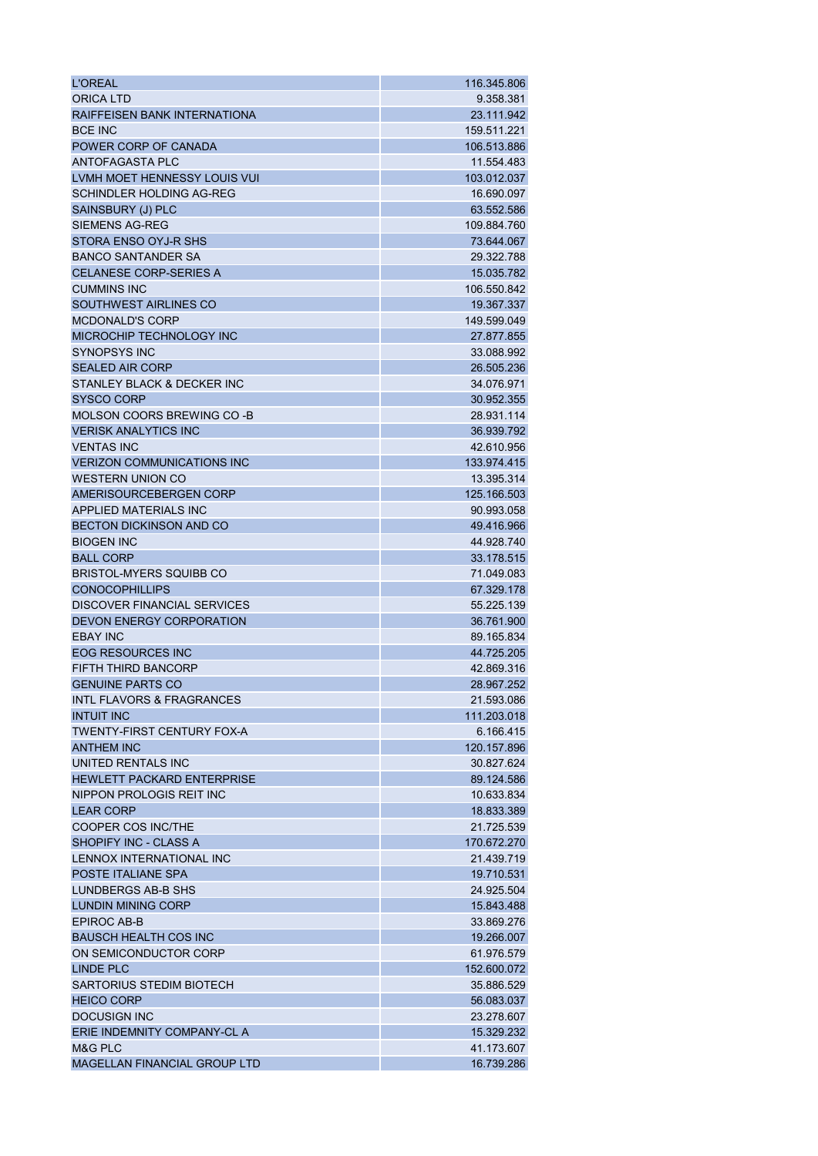| <b>L'OREAL</b>                       | 116.345.806 |
|--------------------------------------|-------------|
| <b>ORICA LTD</b>                     | 9.358.381   |
| RAIFFEISEN BANK INTERNATIONA         | 23.111.942  |
| <b>BCE INC</b>                       | 159.511.221 |
| POWER CORP OF CANADA                 | 106.513.886 |
| ANTOFAGASTA PLC                      | 11.554.483  |
| LVMH MOET HENNESSY LOUIS VUI         | 103.012.037 |
| <b>SCHINDLER HOLDING AG-REG</b>      | 16.690.097  |
| SAINSBURY (J) PLC                    | 63.552.586  |
| <b>SIEMENS AG-REG</b>                | 109.884.760 |
| STORA ENSO OYJ-R SHS                 | 73.644.067  |
| <b>BANCO SANTANDER SA</b>            | 29.322.788  |
| <b>CELANESE CORP-SERIES A</b>        | 15.035.782  |
| <b>CUMMINS INC</b>                   | 106.550.842 |
| SOUTHWEST AIRLINES CO                | 19.367.337  |
| <b>MCDONALD'S CORP</b>               | 149.599.049 |
| MICROCHIP TECHNOLOGY INC             | 27.877.855  |
| <b>SYNOPSYS INC</b>                  | 33.088.992  |
| <b>SEALED AIR CORP</b>               | 26.505.236  |
| STANLEY BLACK & DECKER INC           | 34.076.971  |
| <b>SYSCO CORP</b>                    | 30.952.355  |
| MOLSON COORS BREWING CO -B           | 28.931.114  |
| <b>VERISK ANALYTICS INC</b>          | 36.939.792  |
| <b>VENTAS INC</b>                    | 42.610.956  |
| <b>VERIZON COMMUNICATIONS INC</b>    | 133.974.415 |
| <b>WESTERN UNION CO</b>              | 13.395.314  |
| AMERISOURCEBERGEN CORP               | 125.166.503 |
| APPLIED MATERIALS INC                | 90.993.058  |
| <b>BECTON DICKINSON AND CO</b>       | 49.416.966  |
| <b>BIOGEN INC</b>                    | 44.928.740  |
| <b>BALL CORP</b>                     | 33.178.515  |
|                                      | 71.049.083  |
| <b>BRISTOL-MYERS SQUIBB CO</b>       |             |
| <b>CONOCOPHILLIPS</b>                | 67.329.178  |
| DISCOVER FINANCIAL SERVICES          | 55.225.139  |
| DEVON ENERGY CORPORATION             | 36.761.900  |
| <b>EBAY INC</b>                      | 89.165.834  |
| <b>EOG RESOURCES INC</b>             | 44.725.205  |
| <b>FIFTH THIRD BANCORP</b>           | 42.869.316  |
| <b>GENUINE PARTS CO</b>              | 28.967.252  |
| <b>INTL FLAVORS &amp; FRAGRANCES</b> | 21.593.086  |
| <b>INTUIT INC</b>                    | 111.203.018 |
| <b>TWENTY-FIRST CENTURY FOX-A</b>    | 6.166.415   |
| <b>ANTHEM INC</b>                    | 120.157.896 |
| UNITED RENTALS INC                   | 30.827.624  |
| HEWLETT PACKARD ENTERPRISE           | 89.124.586  |
| NIPPON PROLOGIS REIT INC             | 10.633.834  |
| <b>LEAR CORP</b>                     | 18.833.389  |
| <b>COOPER COS INC/THE</b>            | 21.725.539  |
| SHOPIFY INC - CLASS A                | 170.672.270 |
| LENNOX INTERNATIONAL INC             | 21.439.719  |
| <b>POSTE ITALIANE SPA</b>            | 19.710.531  |
| LUNDBERGS AB-B SHS                   | 24.925.504  |
| <b>LUNDIN MINING CORP</b>            | 15.843.488  |
| <b>EPIROC AB-B</b>                   | 33.869.276  |
| <b>BAUSCH HEALTH COS INC</b>         | 19.266.007  |
| ON SEMICONDUCTOR CORP                | 61.976.579  |
| <b>LINDE PLC</b>                     | 152.600.072 |
| <b>SARTORIUS STEDIM BIOTECH</b>      | 35.886.529  |
| <b>HEICO CORP</b>                    | 56.083.037  |
| <b>DOCUSIGN INC</b>                  | 23.278.607  |
| ERIE INDEMNITY COMPANY-CL A          | 15.329.232  |
| M&G PLC                              | 41.173.607  |
| <b>MAGELLAN FINANCIAL GROUP LTD</b>  | 16.739.286  |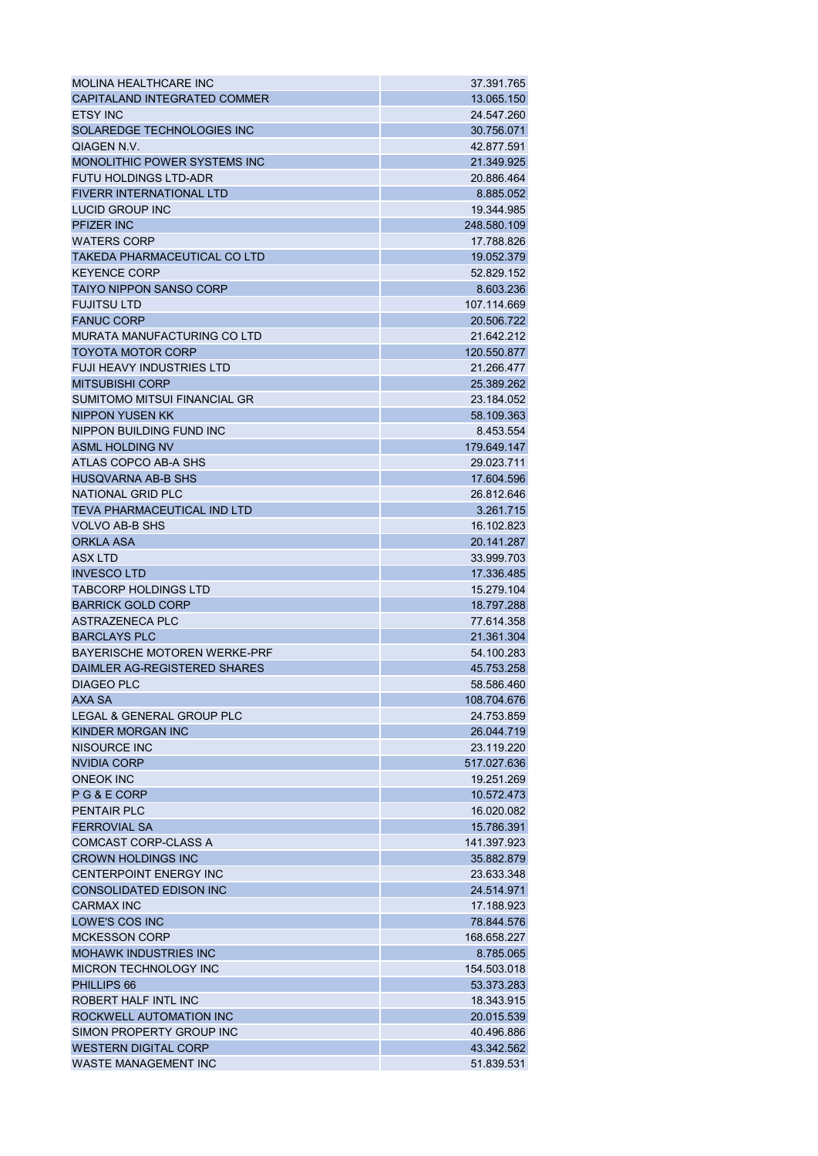| MOLINA HEALTHCARE INC                                   | 37.391.765               |
|---------------------------------------------------------|--------------------------|
| CAPITALAND INTEGRATED COMMER                            | 13.065.150               |
| <b>ETSY INC</b>                                         | 24.547.260               |
| SOLAREDGE TECHNOLOGIES INC                              | 30.756.071               |
| <b>QIAGEN N.V.</b>                                      | 42.877.591               |
| MONOLITHIC POWER SYSTEMS INC                            | 21.349.925               |
| <b>FUTU HOLDINGS LTD-ADR</b>                            | 20.886.464               |
| <b>FIVERR INTERNATIONAL LTD</b>                         | 8.885.052                |
| LUCID GROUP INC                                         | 19.344.985               |
| <b>PFIZER INC</b>                                       | 248.580.109              |
| <b>WATERS CORP</b>                                      | 17.788.826               |
| TAKEDA PHARMACEUTICAL CO LTD                            | 19.052.379               |
| <b>KEYENCE CORP</b>                                     | 52.829.152               |
| <b>TAIYO NIPPON SANSO CORP</b>                          | 8.603.236                |
| <b>FUJITSU LTD</b>                                      | 107.114.669              |
| <b>FANUC CORP</b>                                       | 20.506.722               |
| MURATA MANUFACTURING CO LTD                             | 21.642.212               |
| <b>TOYOTA MOTOR CORP</b>                                | 120.550.877              |
| <b>FUJI HEAVY INDUSTRIES LTD</b>                        | 21.266.477               |
| <b>MITSUBISHI CORP</b>                                  | 25.389.262               |
| <b>SUMITOMO MITSUI FINANCIAL GR</b>                     | 23.184.052               |
| <b>NIPPON YUSEN KK</b>                                  | 58.109.363               |
| NIPPON BUILDING FUND INC                                | 8.453.554                |
| <b>ASML HOLDING NV</b>                                  | 179.649.147              |
| ATLAS COPCO AB-A SHS                                    | 29.023.711               |
| <b>HUSQVARNA AB-B SHS</b>                               | 17.604.596               |
| NATIONAL GRID PLC                                       | 26.812.646               |
|                                                         |                          |
| <b>TEVA PHARMACEUTICAL IND LTD</b>                      | 3.261.715                |
| <b>VOLVO AB-B SHS</b><br><b>ORKLA ASA</b>               | 16.102.823<br>20.141.287 |
| <b>ASXLTD</b>                                           | 33.999.703               |
| <b>INVESCO LTD</b>                                      | 17.336.485               |
|                                                         |                          |
| <b>TABCORP HOLDINGS LTD</b><br><b>BARRICK GOLD CORP</b> | 15.279.104<br>18.797.288 |
|                                                         | 77.614.358               |
| ASTRAZENECA PLC<br><b>BARCLAYS PLC</b>                  |                          |
| <b>BAYERISCHE MOTOREN WERKE-PRF</b>                     | 21.361.304               |
| DAIMLER AG-REGISTERED SHARES                            | 54.100.283<br>45.753.258 |
| <b>DIAGEO PLC</b>                                       | 58.586.460               |
|                                                         |                          |
| AXA SA<br>LEGAL & GENERAL GROUP PLC                     | 108.704.676              |
| KINDER MORGAN INC                                       | 24.753.859               |
|                                                         | 26.044.719               |
| NISOURCE INC                                            | 23.119.220               |
| <b>NVIDIA CORP</b>                                      | 517.027.636              |
| <b>ONEOK INC</b>                                        | 19.251.269               |
| PG&ECORP                                                | 10.572.473               |
| <b>PENTAIR PLC</b>                                      | 16.020.082               |
| <b>FERROVIAL SA</b>                                     | 15.786.391               |
| <b>COMCAST CORP-CLASS A</b>                             | 141.397.923              |
| <b>CROWN HOLDINGS INC</b>                               | 35.882.879               |
| <b>CENTERPOINT ENERGY INC</b>                           | 23.633.348               |
| <b>CONSOLIDATED EDISON INC</b>                          | 24.514.971               |
| <b>CARMAX INC</b>                                       | 17.188.923               |
| LOWE'S COS INC                                          | 78.844.576               |
| <b>MCKESSON CORP</b>                                    | 168.658.227              |
| <b>MOHAWK INDUSTRIES INC</b>                            | 8.785.065                |
| <b>MICRON TECHNOLOGY INC</b>                            | 154.503.018              |
| PHILLIPS 66                                             | 53.373.283               |
| ROBERT HALF INTL INC                                    | 18.343.915               |
| ROCKWELL AUTOMATION INC                                 | 20.015.539               |
| SIMON PROPERTY GROUP INC                                | 40.496.886               |
| <b>WESTERN DIGITAL CORP</b>                             | 43.342.562               |
| <b>WASTE MANAGEMENT INC</b>                             | 51.839.531               |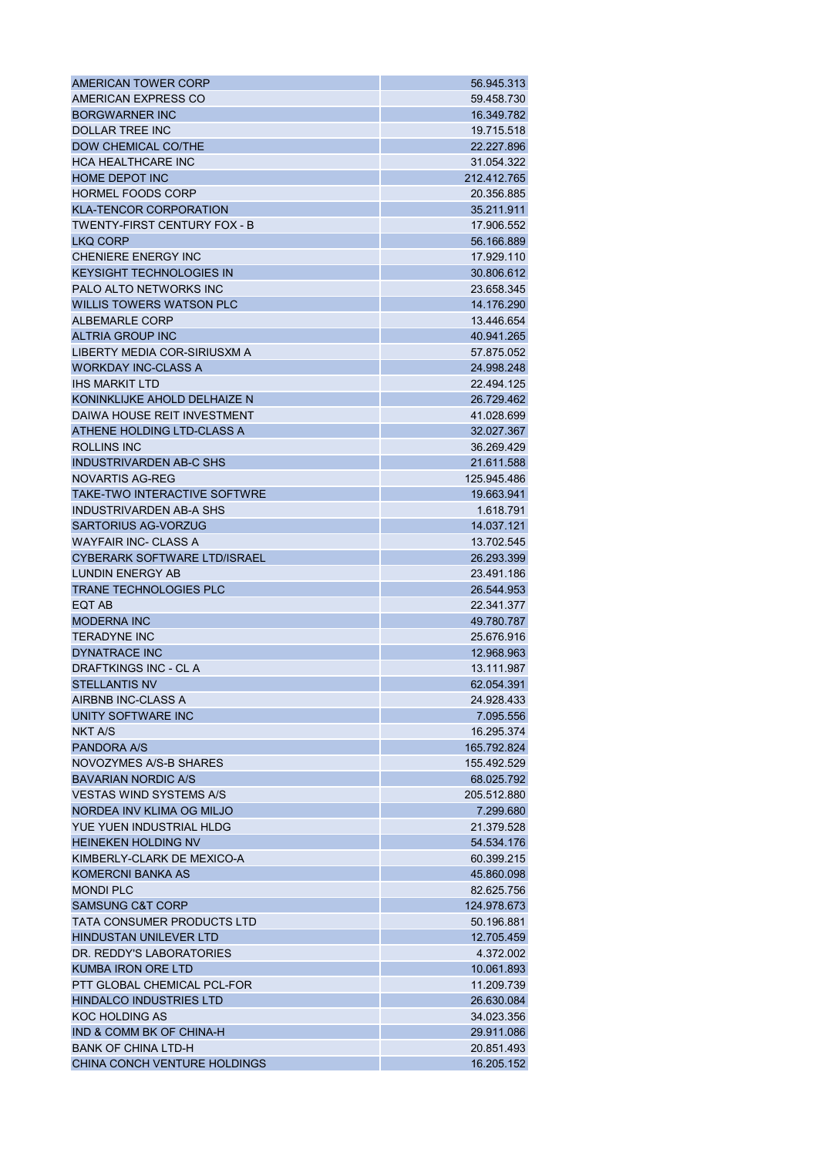| AMERICAN TOWER CORP                 | 56.945.313  |
|-------------------------------------|-------------|
| AMERICAN EXPRESS CO                 | 59.458.730  |
| <b>BORGWARNER INC</b>               | 16.349.782  |
| DOLLAR TREE INC                     | 19.715.518  |
| DOW CHEMICAL CO/THE                 | 22.227.896  |
| <b>HCA HEALTHCARE INC</b>           | 31.054.322  |
| <b>HOME DEPOT INC</b>               | 212.412.765 |
| HORMEL FOODS CORP                   | 20.356.885  |
| <b>KLA-TENCOR CORPORATION</b>       | 35.211.911  |
| TWENTY-FIRST CENTURY FOX - B        | 17.906.552  |
| <b>LKO CORP</b>                     | 56.166.889  |
| <b>CHENIERE ENERGY INC</b>          | 17.929.110  |
| <b>KEYSIGHT TECHNOLOGIES IN</b>     | 30.806.612  |
| <b>PALO ALTO NETWORKS INC</b>       | 23.658.345  |
| <b>WILLIS TOWERS WATSON PLC</b>     | 14.176.290  |
| ALBEMARLE CORP                      | 13.446.654  |
| <b>ALTRIA GROUP INC</b>             | 40.941.265  |
| LIBERTY MEDIA COR-SIRIUSXM A        | 57.875.052  |
| <b>WORKDAY INC-CLASS A</b>          | 24.998.248  |
| <b>IHS MARKIT LTD</b>               | 22.494.125  |
| KONINKLIJKE AHOLD DELHAIZE N        | 26.729.462  |
| DAIWA HOUSE REIT INVESTMENT         | 41.028.699  |
| ATHENE HOLDING LTD-CLASS A          | 32.027.367  |
| ROLLINS INC                         | 36.269.429  |
| <b>INDUSTRIVARDEN AB-C SHS</b>      | 21.611.588  |
| NOVARTIS AG-REG                     | 125.945.486 |
| <b>TAKE-TWO INTERACTIVE SOFTWRE</b> | 19.663.941  |
| INDUSTRIVARDEN AB-A SHS             | 1.618.791   |
| <b>SARTORIUS AG-VORZUG</b>          | 14.037.121  |
| <b>WAYFAIR INC- CLASS A</b>         | 13.702.545  |
| <b>CYBERARK SOFTWARE LTD/ISRAEL</b> | 26.293.399  |
| <b>LUNDIN ENERGY AB</b>             | 23.491.186  |
| <b>TRANE TECHNOLOGIES PLC</b>       | 26.544.953  |
| EQT AB                              | 22.341.377  |
| <b>MODERNA INC</b>                  | 49.780.787  |
| <b>TERADYNE INC</b>                 | 25.676.916  |
| DYNATRACE INC                       | 12.968.963  |
| DRAFTKINGS INC - CL A               | 13.111.987  |
| <b>STELLANTIS NV</b>                | 62.054.391  |
| AIRBNB INC-CLASS A                  | 24.928.433  |
| UNITY SOFTWARE INC                  | 7.095.556   |
| <b>NKT A/S</b>                      | 16.295.374  |
| <b>PANDORA A/S</b>                  | 165.792.824 |
| <b>NOVOZYMES A/S-B SHARES</b>       | 155.492.529 |
| <b>BAVARIAN NORDIC A/S</b>          | 68.025.792  |
| <b>VESTAS WIND SYSTEMS A/S</b>      | 205.512.880 |
| NORDEA INV KLIMA OG MILJO           |             |
| YUE YUEN INDUSTRIAL HLDG            | 7.299.680   |
| <b>HEINEKEN HOLDING NV</b>          | 21.379.528  |
| KIMBERLY-CLARK DE MEXICO-A          | 54.534.176  |
|                                     | 60.399.215  |
| <b>KOMERCNI BANKA AS</b>            | 45.860.098  |
| <b>MONDI PLC</b>                    | 82.625.756  |
| <b>SAMSUNG C&amp;T CORP</b>         | 124.978.673 |
| TATA CONSUMER PRODUCTS LTD          | 50.196.881  |
| <b>HINDUSTAN UNILEVER LTD</b>       | 12.705.459  |
| DR. REDDY'S LABORATORIES            | 4.372.002   |
| <b>KUMBA IRON ORE LTD</b>           | 10.061.893  |
| PTT GLOBAL CHEMICAL PCL-FOR         | 11.209.739  |
| <b>HINDALCO INDUSTRIES LTD</b>      | 26.630.084  |
| <b>KOC HOLDING AS</b>               | 34.023.356  |
| IND & COMM BK OF CHINA-H            | 29.911.086  |
| <b>BANK OF CHINA LTD-H</b>          | 20.851.493  |
| CHINA CONCH VENTURE HOLDINGS        | 16.205.152  |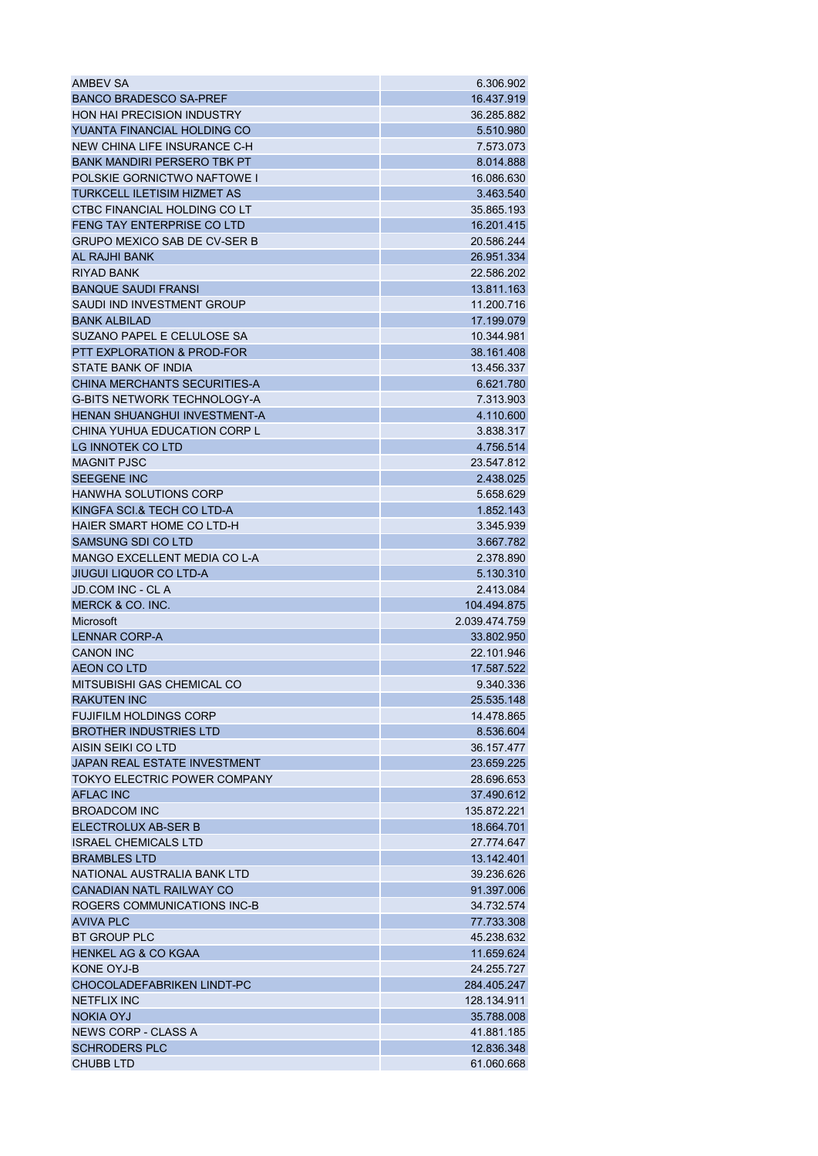| AMBEV SA                              | 6.306.902     |
|---------------------------------------|---------------|
| <b>BANCO BRADESCO SA-PREF</b>         | 16.437.919    |
| <b>HON HAI PRECISION INDUSTRY</b>     | 36.285.882    |
| YUANTA FINANCIAL HOLDING CO           | 5.510.980     |
| NEW CHINA LIFE INSURANCE C-H          | 7.573.073     |
| <b>BANK MANDIRI PERSERO TBK PT</b>    | 8.014.888     |
| <b>POLSKIE GORNICTWO NAFTOWE I</b>    | 16.086.630    |
| <b>TURKCELL ILETISIM HIZMET AS</b>    | 3.463.540     |
| CTBC FINANCIAL HOLDING CO LT          | 35.865.193    |
| <b>FENG TAY ENTERPRISE CO LTD</b>     | 16.201.415    |
| <b>GRUPO MEXICO SAB DE CV-SER B</b>   | 20.586.244    |
| <b>AL RAJHI BANK</b>                  | 26.951.334    |
| <b>RIYAD BANK</b>                     | 22.586.202    |
| <b>BANQUE SAUDI FRANSI</b>            | 13.811.163    |
| SAUDI IND INVESTMENT GROUP            | 11.200.716    |
| <b>BANK ALBILAD</b>                   | 17.199.079    |
| SUZANO PAPEL E CELULOSE SA            | 10.344.981    |
| <b>PTT EXPLORATION &amp; PROD-FOR</b> | 38.161.408    |
| STATE BANK OF INDIA                   | 13.456.337    |
| CHINA MERCHANTS SECURITIES-A          | 6.621.780     |
| <b>G-BITS NETWORK TECHNOLOGY-A</b>    | 7.313.903     |
| HENAN SHUANGHUI INVESTMENT-A          | 4.110.600     |
| CHINA YUHUA EDUCATION CORP L          |               |
|                                       | 3.838.317     |
| LG INNOTEK CO LTD                     | 4.756.514     |
| <b>MAGNIT PJSC</b>                    | 23.547.812    |
| <b>SEEGENE INC</b>                    | 2.438.025     |
| <b>HANWHA SOLUTIONS CORP</b>          | 5.658.629     |
| KINGFA SCI.& TECH CO LTD-A            | 1.852.143     |
| HAIER SMART HOME CO LTD-H             | 3.345.939     |
| SAMSUNG SDI CO LTD                    | 3.667.782     |
| MANGO EXCELLENT MEDIA CO L-A          | 2.378.890     |
| <b>JIUGUI LIQUOR CO LTD-A</b>         | 5.130.310     |
| <b>JD.COM INC - CLA</b>               | 2.413.084     |
| MERCK & CO. INC.                      | 104.494.875   |
| Microsoft                             | 2.039.474.759 |
| <b>LENNAR CORP-A</b>                  | 33.802.950    |
| <b>CANON INC</b>                      | 22.101.946    |
| <b>AEON CO LTD</b>                    | 17.587.522    |
| MITSUBISHI GAS CHEMICAL CO            | 9.340.336     |
| <b>RAKUTEN INC</b>                    | 25.535.148    |
| <b>FUJIFILM HOLDINGS CORP</b>         | 14.478.865    |
| <b>BROTHER INDUSTRIES LTD</b>         | 8.536.604     |
| AISIN SEIKI CO LTD                    | 36.157.477    |
| <b>JAPAN REAL ESTATE INVESTMENT</b>   | 23.659.225    |
| <b>TOKYO ELECTRIC POWER COMPANY</b>   | 28.696.653    |
| <b>AFLAC INC</b>                      | 37.490.612    |
| <b>BROADCOM INC</b>                   | 135.872.221   |
| ELECTROLUX AB-SER B                   | 18.664.701    |
| <b>ISRAEL CHEMICALS LTD</b>           | 27.774.647    |
| <b>BRAMBLES LTD</b>                   | 13.142.401    |
| NATIONAL AUSTRALIA BANK LTD           | 39.236.626    |
| CANADIAN NATL RAILWAY CO              | 91.397.006    |
| ROGERS COMMUNICATIONS INC-B           | 34.732.574    |
| <b>AVIVA PLC</b>                      | 77.733.308    |
| <b>BT GROUP PLC</b>                   | 45.238.632    |
| <b>HENKEL AG &amp; CO KGAA</b>        | 11.659.624    |
| KONE OYJ-B                            | 24.255.727    |
| <b>CHOCOLADEFABRIKEN LINDT-PC</b>     | 284.405.247   |
| <b>NETFLIX INC</b>                    | 128.134.911   |
| <b>NOKIA OYJ</b>                      | 35.788.008    |
| NEWS CORP - CLASS A                   | 41.881.185    |
| <b>SCHRODERS PLC</b>                  | 12.836.348    |
| <b>CHUBB LTD</b>                      | 61.060.668    |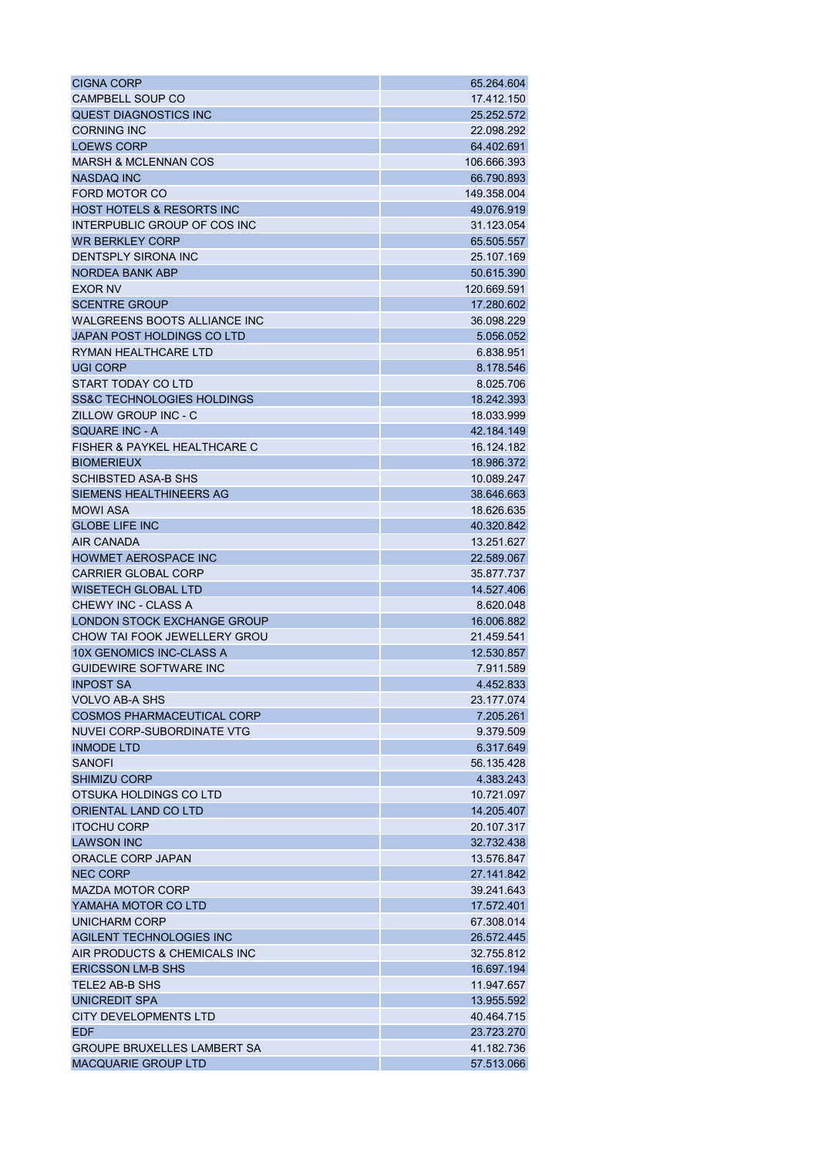| <b>CIGNA CORP</b>                     | 65.264.604  |
|---------------------------------------|-------------|
| CAMPBELL SOUP CO                      | 17.412.150  |
| QUEST DIAGNOSTICS INC                 | 25.252.572  |
| <b>CORNING INC</b>                    | 22.098.292  |
| <b>LOEWS CORP</b>                     | 64.402.691  |
| <b>MARSH &amp; MCLENNAN COS</b>       | 106.666.393 |
| <b>NASDAQ INC</b>                     | 66.790.893  |
| FORD MOTOR CO                         | 149.358.004 |
| <b>HOST HOTELS &amp; RESORTS INC</b>  | 49.076.919  |
| INTERPUBLIC GROUP OF COS INC          | 31.123.054  |
| <b>WR BERKLEY CORP</b>                | 65.505.557  |
| DENTSPLY SIRONA INC                   | 25.107.169  |
| <b>NORDEA BANK ABP</b>                | 50.615.390  |
| <b>EXOR NV</b>                        | 120.669.591 |
| <b>SCENTRE GROUP</b>                  | 17.280.602  |
| WALGREENS BOOTS ALLIANCE INC          | 36.098.229  |
| JAPAN POST HOLDINGS CO LTD            | 5.056.052   |
| RYMAN HEALTHCARE LTD                  | 6.838.951   |
| UGI CORP                              | 8.178.546   |
| START TODAY CO LTD                    | 8.025.706   |
| <b>SS&amp;C TECHNOLOGIES HOLDINGS</b> | 18.242.393  |
| ZILLOW GROUP INC - C                  | 18.033.999  |
| <b>SQUARE INC - A</b>                 | 42.184.149  |
| FISHER & PAYKEL HEALTHCARE C          | 16.124.182  |
| <b>BIOMERIEUX</b>                     | 18.986.372  |
| <b>SCHIBSTED ASA-B SHS</b>            | 10.089.247  |
| SIEMENS HEALTHINEERS AG               | 38.646.663  |
| <b>MOWI ASA</b>                       | 18.626.635  |
| <b>GLOBE LIFE INC</b>                 | 40.320.842  |
| <b>AIR CANADA</b>                     | 13.251.627  |
| <b>HOWMET AEROSPACE INC</b>           | 22.589.067  |
| <b>CARRIER GLOBAL CORP</b>            | 35.877.737  |
| <b>WISETECH GLOBAL LTD</b>            | 14.527.406  |
| CHEWY INC - CLASS A                   | 8.620.048   |
| LONDON STOCK EXCHANGE GROUP           | 16.006.882  |
| CHOW TAI FOOK JEWELLERY GROU          | 21.459.541  |
| 10X GENOMICS INC-CLASS A              | 12.530.857  |
| <b>GUIDEWIRE SOFTWARE INC</b>         | 7.911.589   |
| <b>INPOST SA</b>                      | 4.452.833   |
| <b>VOLVO AB-A SHS</b>                 | 23.177.074  |
| <b>COSMOS PHARMACEUTICAL CORP</b>     | 7.205.261   |
| NUVEI CORP-SUBORDINATE VTG            | 9.379.509   |
| <b>INMODE LTD</b>                     | 6.317.649   |
| <b>SANOFI</b>                         | 56.135.428  |
| <b>SHIMIZU CORP</b>                   | 4.383.243   |
| OTSUKA HOLDINGS CO LTD                | 10.721.097  |
| ORIENTAL LAND CO LTD                  | 14.205.407  |
| <b>ITOCHU CORP</b>                    | 20.107.317  |
| <b>LAWSON INC</b>                     | 32.732.438  |
| ORACLE CORP JAPAN                     | 13.576.847  |
| <b>NEC CORP</b>                       | 27.141.842  |
| <b>MAZDA MOTOR CORP</b>               | 39.241.643  |
| YAMAHA MOTOR CO LTD                   | 17.572.401  |
| UNICHARM CORP                         | 67.308.014  |
| AGILENT TECHNOLOGIES INC              | 26.572.445  |
| AIR PRODUCTS & CHEMICALS INC          | 32.755.812  |
| <b>ERICSSON LM-B SHS</b>              | 16.697.194  |
| <b>TELE2 AB-B SHS</b>                 | 11.947.657  |
| UNICREDIT SPA                         | 13.955.592  |
| <b>CITY DEVELOPMENTS LTD</b>          | 40.464.715  |
| <b>EDF</b>                            | 23.723.270  |
| <b>GROUPE BRUXELLES LAMBERT SA</b>    | 41.182.736  |
| <b>MACQUARIE GROUP LTD</b>            | 57.513.066  |
|                                       |             |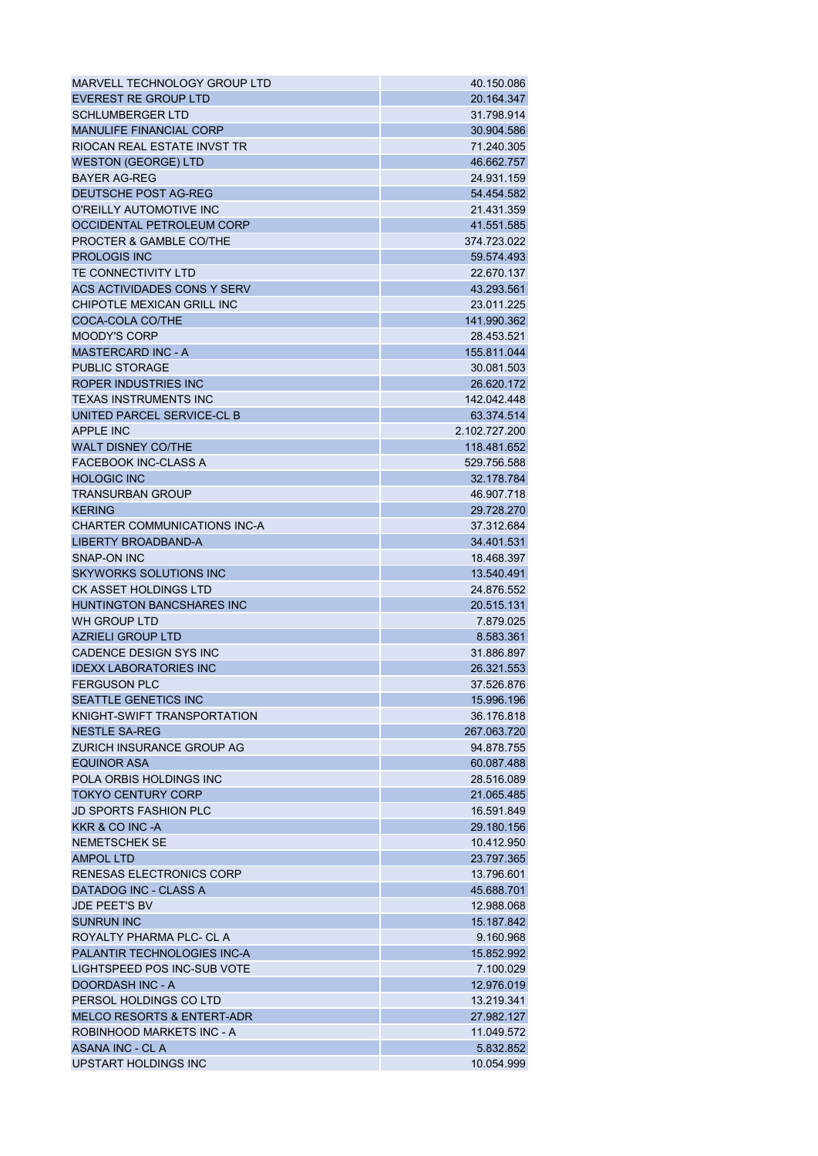| MARVELL TECHNOLOGY GROUP LTD                               | 40.150.086               |
|------------------------------------------------------------|--------------------------|
| EVEREST RE GROUP LTD                                       | 20.164.347               |
| <b>SCHLUMBERGER LTD</b>                                    | 31.798.914               |
| <b>MANULIFE FINANCIAL CORP</b>                             | 30.904.586               |
| RIOCAN REAL ESTATE INVST TR                                | 71.240.305               |
| <b>WESTON (GEORGE) LTD</b>                                 | 46.662.757               |
| <b>BAYER AG-REG</b>                                        | 24.931.159               |
| DEUTSCHE POST AG-REG                                       | 54.454.582               |
| O'REILLY AUTOMOTIVE INC                                    | 21.431.359               |
| OCCIDENTAL PETROLEUM CORP                                  | 41.551.585               |
| PROCTER & GAMBLE CO/THE                                    | 374.723.022              |
| <b>PROLOGIS INC</b>                                        | 59.574.493               |
| TE CONNECTIVITY LTD                                        | 22.670.137               |
| ACS ACTIVIDADES CONS Y SERV                                | 43.293.561               |
| CHIPOTLE MEXICAN GRILL INC                                 | 23.011.225               |
| COCA-COLA CO/THE                                           | 141.990.362              |
| <b>MOODY'S CORP</b>                                        | 28.453.521               |
| <b>MASTERCARD INC - A</b>                                  | 155.811.044              |
| <b>PUBLIC STORAGE</b>                                      | 30.081.503               |
| ROPER INDUSTRIES INC                                       | 26.620.172               |
| <b>TEXAS INSTRUMENTS INC</b>                               | 142.042.448              |
| UNITED PARCEL SERVICE-CL B                                 | 63.374.514               |
| <b>APPLE INC</b>                                           | 2.102.727.200            |
| <b>WALT DISNEY CO/THE</b>                                  | 118.481.652              |
| <b>FACEBOOK INC-CLASS A</b>                                | 529.756.588              |
| <b>HOLOGIC INC</b>                                         | 32.178.784               |
| <b>TRANSURBAN GROUP</b>                                    | 46.907.718               |
| <b>KERING</b>                                              | 29.728.270               |
| <b>CHARTER COMMUNICATIONS INC-A</b>                        | 37.312.684               |
| <b>LIBERTY BROADBAND-A</b>                                 | 34.401.531               |
| <b>SNAP-ON INC</b>                                         | 18.468.397               |
| <b>SKYWORKS SOLUTIONS INC</b>                              | 13.540.491               |
| <b>CK ASSET HOLDINGS LTD</b>                               | 24.876.552               |
| <b>HUNTINGTON BANCSHARES INC</b>                           | 20.515.131               |
| WH GROUP LTD                                               |                          |
| <b>AZRIELI GROUP LTD</b>                                   | 7.879.025                |
| CADENCE DESIGN SYS INC                                     | 8.583.361                |
| <b>IDEXX LABORATORIES INC</b>                              | 31.886.897<br>26.321.553 |
| <b>FERGUSON PLC</b>                                        | 37.526.876               |
|                                                            |                          |
| <b>SEATTLE GENETICS INC</b><br>KNIGHT-SWIFT TRANSPORTATION | 15.996.196<br>36.176.818 |
| <b>NESTLE SA-REG</b>                                       |                          |
|                                                            | 267.063.720              |
| ZURICH INSURANCE GROUP AG                                  | 94.878.755               |
| <b>EQUINOR ASA</b>                                         | 60.087.488               |
| POLA ORBIS HOLDINGS INC                                    | 28.516.089               |
| <b>TOKYO CENTURY CORP</b>                                  | 21.065.485               |
| <b>JD SPORTS FASHION PLC</b>                               | 16.591.849               |
| KKR & CO INC -A                                            | 29.180.156               |
| <b>NEMETSCHEK SE</b>                                       | 10.412.950               |
| <b>AMPOL LTD</b>                                           | 23.797.365               |
| <b>RENESAS ELECTRONICS CORP</b>                            | 13.796.601               |
| DATADOG INC - CLASS A                                      | 45.688.701               |
| <b>JDE PEET'S BV</b>                                       | 12.988.068               |
| <b>SUNRUN INC</b>                                          | 15.187.842               |
| ROYALTY PHARMA PLC- CL A                                   | 9.160.968                |
| PALANTIR TECHNOLOGIES INC-A                                | 15.852.992               |
| LIGHTSPEED POS INC-SUB VOTE                                | 7.100.029                |
| <b>DOORDASH INC - A</b>                                    | 12.976.019               |
| PERSOL HOLDINGS CO LTD                                     | 13.219.341               |
| <b>MELCO RESORTS &amp; ENTERT-ADR</b>                      | 27.982.127               |
| ROBINHOOD MARKETS INC - A                                  | 11.049.572               |
| ASANA INC - CL A                                           | 5.832.852                |
| UPSTART HOLDINGS INC                                       | 10.054.999               |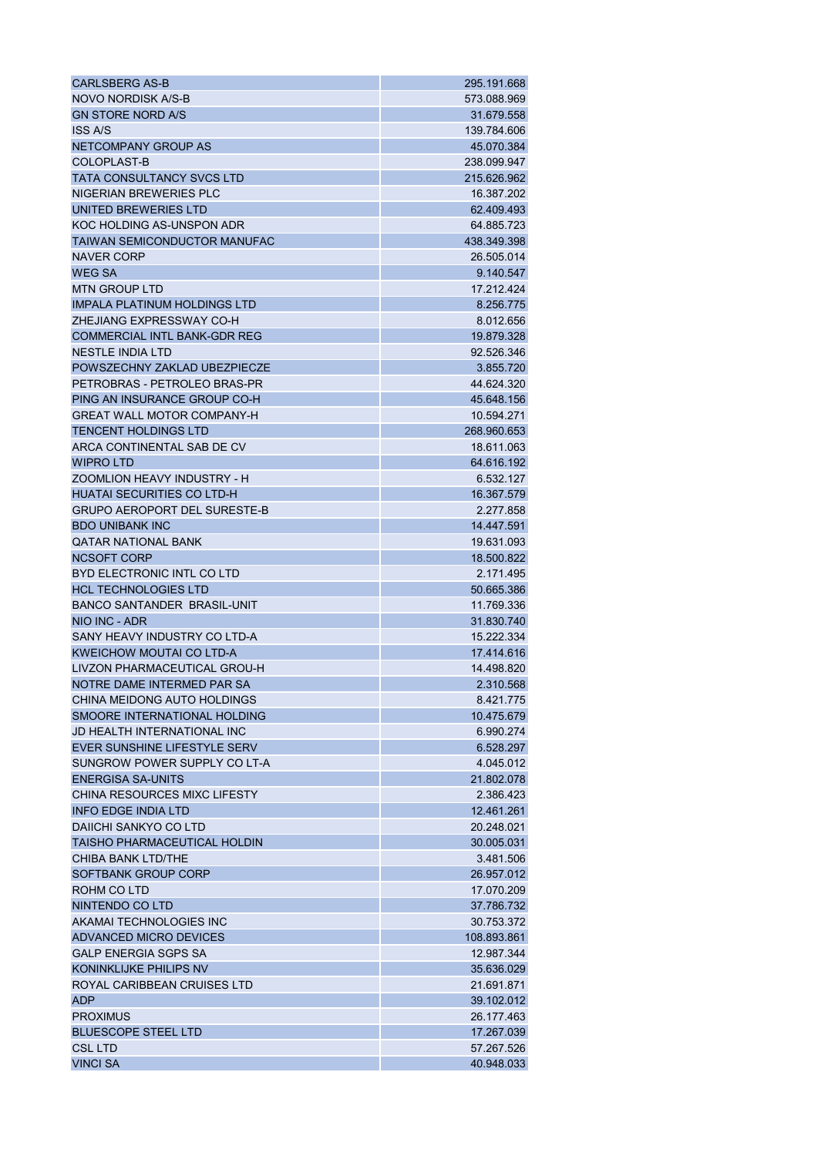| <b>CARLSBERG AS-B</b>               | 295.191.668             |
|-------------------------------------|-------------------------|
| NOVO NORDISK A/S-B                  | 573.088.969             |
| <b>GN STORE NORD A/S</b>            | 31.679.558              |
| <b>ISS A/S</b>                      | 139.784.606             |
| NETCOMPANY GROUP AS                 | 45.070.384              |
| COLOPLAST-B                         | 238.099.947             |
| <b>TATA CONSULTANCY SVCS LTD</b>    | 215.626.962             |
| NIGERIAN BREWERIES PLC              | 16.387.202              |
| UNITED BREWERIES LTD                | 62.409.493              |
| KOC HOLDING AS-UNSPON ADR           | 64.885.723              |
| <b>TAIWAN SEMICONDUCTOR MANUFAC</b> | 438.349.398             |
| NAVER CORP                          | 26.505.014              |
| <b>WEG SA</b>                       | 9.140.547               |
| <b>MTN GROUP LTD</b>                | 17.212.424              |
| IMPALA PLATINUM HOLDINGS LTD        | 8.256.775               |
| ZHEJIANG EXPRESSWAY CO-H            | 8.012.656               |
| <b>COMMERCIAL INTL BANK-GDR REG</b> | 19.879.328              |
| <b>NESTLE INDIA LTD</b>             | 92.526.346              |
| POWSZECHNY ZAKLAD UBEZPIECZE        | 3.855.720               |
| PETROBRAS - PETROLEO BRAS-PR        | 44.624.320              |
| PING AN INSURANCE GROUP CO-H        | 45.648.156              |
| <b>GREAT WALL MOTOR COMPANY-H</b>   | 10.594.271              |
| <b>TENCENT HOLDINGS LTD</b>         | 268.960.653             |
| ARCA CONTINENTAL SAB DE CV          | 18.611.063              |
| <b>WIPRO LTD</b>                    | 64.616.192              |
| ZOOMLION HEAVY INDUSTRY - H         | 6.532.127               |
| <b>HUATAI SECURITIES CO LTD-H</b>   | 16.367.579              |
| <b>GRUPO AEROPORT DEL SURESTE-B</b> | 2.277.858               |
| <b>BDO UNIBANK INC</b>              | 14.447.591              |
| <b>QATAR NATIONAL BANK</b>          | 19.631.093              |
| <b>NCSOFT CORP</b>                  | 18.500.822              |
| BYD ELECTRONIC INTL CO LTD          | 2.171.495               |
| <b>HCL TECHNOLOGIES LTD</b>         | 50.665.386              |
| <b>BANCO SANTANDER BRASIL-UNIT</b>  | 11.769.336              |
| NIO INC - ADR                       | 31.830.740              |
| SANY HEAVY INDUSTRY CO LTD-A        | 15.222.334              |
| <b>KWEICHOW MOUTAI CO LTD-A</b>     | 17.414.616              |
| LIVZON PHARMACEUTICAL GROU-H        | 14.498.820              |
| NOTRE DAME INTERMED PAR SA          | 2.310.568               |
| CHINA MEIDONG AUTO HOLDINGS         |                         |
| SMOORE INTERNATIONAL HOLDING        | 8.421.775<br>10.475.679 |
| <b>JD HEALTH INTERNATIONAL INC</b>  | 6.990.274               |
| EVER SUNSHINE LIFESTYLE SERV        | 6.528.297               |
| SUNGROW POWER SUPPLY CO LT-A        | 4.045.012               |
| <b>ENERGISA SA-UNITS</b>            | 21.802.078              |
| CHINA RESOURCES MIXC LIFESTY        |                         |
|                                     | 2.386.423               |
| <b>INFO EDGE INDIA LTD</b>          | 12.461.261              |
| DAIICHI SANKYO CO LTD               | 20.248.021              |
| <b>TAISHO PHARMACEUTICAL HOLDIN</b> | 30.005.031              |
| CHIBA BANK LTD/THE                  | 3.481.506               |
| SOFTBANK GROUP CORP                 | 26.957.012              |
| ROHM CO LTD                         | 17.070.209              |
| NINTENDO CO LTD                     | 37.786.732              |
| AKAMAI TECHNOLOGIES INC             | 30.753.372              |
| ADVANCED MICRO DEVICES              | 108.893.861             |
| <b>GALP ENERGIA SGPS SA</b>         | 12.987.344              |
| KONINKLIJKE PHILIPS NV              | 35.636.029              |
| ROYAL CARIBBEAN CRUISES LTD         | 21.691.871              |
| <b>ADP</b>                          | 39.102.012              |
| <b>PROXIMUS</b>                     | 26.177.463              |
| <b>BLUESCOPE STEEL LTD</b>          | 17.267.039              |
| <b>CSL LTD</b>                      | 57.267.526              |
| <b>VINCI SA</b>                     | 40.948.033              |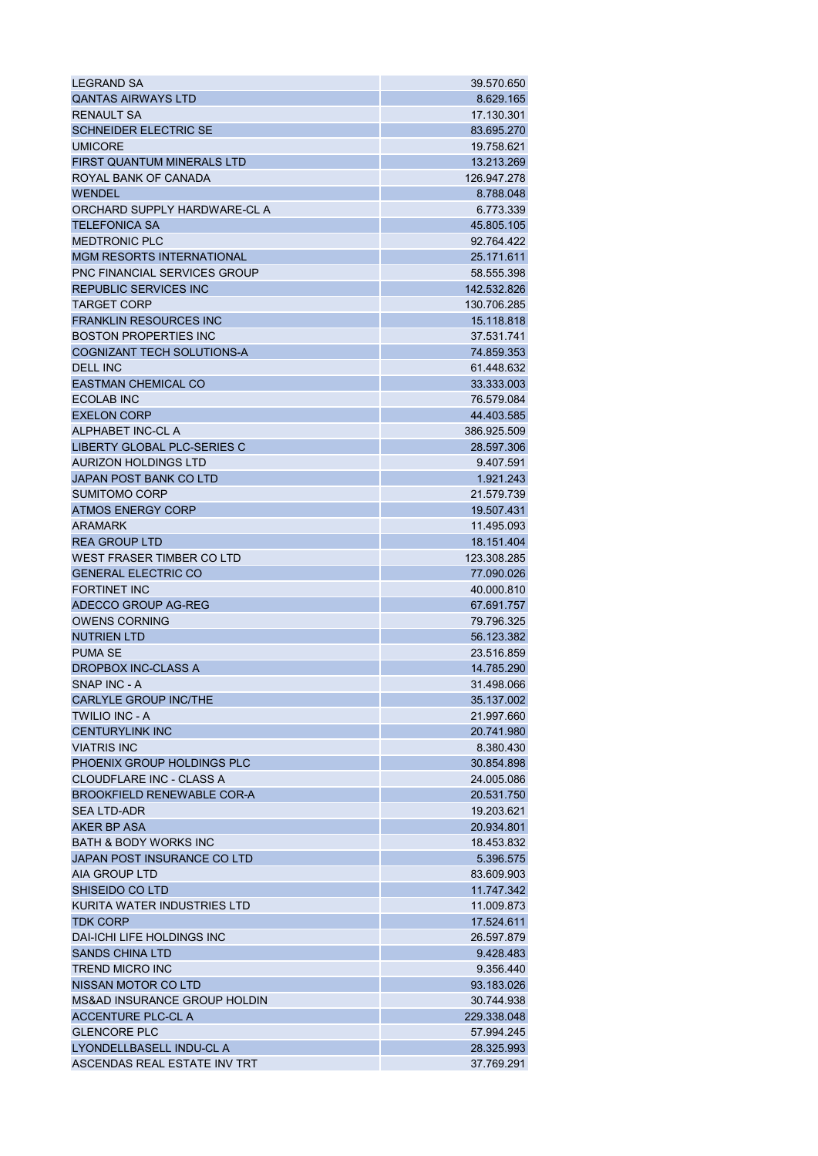| <b>LEGRAND SA</b>                   | 39.570.650  |
|-------------------------------------|-------------|
| <b>QANTAS AIRWAYS LTD</b>           | 8.629.165   |
| <b>RENAULT SA</b>                   | 17.130.301  |
| <b>SCHNEIDER ELECTRIC SE</b>        | 83.695.270  |
| <b>UMICORE</b>                      | 19.758.621  |
| <b>FIRST QUANTUM MINERALS LTD</b>   | 13.213.269  |
| ROYAL BANK OF CANADA                | 126.947.278 |
| <b>WENDEL</b>                       | 8.788.048   |
| ORCHARD SUPPLY HARDWARE-CL A        | 6.773.339   |
| <b>TELEFONICA SA</b>                | 45.805.105  |
| <b>MEDTRONIC PLC</b>                | 92.764.422  |
| <b>MGM RESORTS INTERNATIONAL</b>    | 25.171.611  |
| <b>PNC FINANCIAL SERVICES GROUP</b> | 58.555.398  |
| <b>REPUBLIC SERVICES INC</b>        | 142.532.826 |
| <b>TARGET CORP</b>                  | 130.706.285 |
| <b>FRANKLIN RESOURCES INC</b>       | 15.118.818  |
| <b>BOSTON PROPERTIES INC</b>        | 37.531.741  |
| <b>COGNIZANT TECH SOLUTIONS-A</b>   | 74.859.353  |
| <b>DELL INC</b>                     | 61.448.632  |
| <b>EASTMAN CHEMICAL CO</b>          | 33.333.003  |
| <b>ECOLAB INC</b>                   | 76.579.084  |
| <b>EXELON CORP</b>                  | 44.403.585  |
| ALPHABET INC-CL A                   | 386.925.509 |
| LIBERTY GLOBAL PLC-SERIES C         | 28.597.306  |
| <b>AURIZON HOLDINGS LTD</b>         | 9.407.591   |
| JAPAN POST BANK CO LTD              | 1.921.243   |
| <b>SUMITOMO CORP</b>                | 21.579.739  |
| <b>ATMOS ENERGY CORP</b>            | 19.507.431  |
| <b>ARAMARK</b>                      | 11.495.093  |
| <b>REA GROUP LTD</b>                | 18.151.404  |
| WEST FRASER TIMBER CO LTD           | 123.308.285 |
| <b>GENERAL ELECTRIC CO</b>          | 77.090.026  |
| <b>FORTINET INC</b>                 | 40.000.810  |
| ADECCO GROUP AG-REG                 | 67.691.757  |
| <b>OWENS CORNING</b>                | 79.796.325  |
| <b>NUTRIEN LTD</b>                  | 56.123.382  |
| <b>PUMA SE</b>                      | 23.516.859  |
| DROPBOX INC-CLASS A                 | 14.785.290  |
| SNAP INC - A                        | 31.498.066  |
| <b>CARLYLE GROUP INC/THE</b>        | 35.137.002  |
| <b>TWILIO INC - A</b>               | 21.997.660  |
| <b>CENTURYLINK INC</b>              | 20.741.980  |
| <b>VIATRIS INC</b>                  | 8.380.430   |
| PHOENIX GROUP HOLDINGS PLC          | 30.854.898  |
| CLOUDFLARE INC - CLASS A            | 24.005.086  |
| <b>BROOKFIELD RENEWABLE COR-A</b>   | 20.531.750  |
| <b>SEA LTD-ADR</b>                  | 19.203.621  |
| AKER BP ASA                         | 20.934.801  |
|                                     | 18.453.832  |
| <b>BATH &amp; BODY WORKS INC</b>    |             |
| JAPAN POST INSURANCE CO LTD         | 5.396.575   |
| AIA GROUP LTD                       | 83.609.903  |
| SHISEIDO CO LTD                     | 11.747.342  |
| KURITA WATER INDUSTRIES LTD         | 11.009.873  |
| <b>TDK CORP</b>                     | 17.524.611  |
| DAI-ICHI LIFE HOLDINGS INC          | 26.597.879  |
| <b>SANDS CHINA LTD</b>              | 9.428.483   |
| <b>TREND MICRO INC</b>              | 9.356.440   |
| NISSAN MOTOR CO LTD                 | 93.183.026  |
| MS&AD INSURANCE GROUP HOLDIN        | 30.744.938  |
| ACCENTURE PLC-CL A                  | 229.338.048 |
| <b>GLENCORE PLC</b>                 | 57.994.245  |
| LYONDELLBASELL INDU-CL A            | 28.325.993  |
| ASCENDAS REAL ESTATE INV TRT        | 37.769.291  |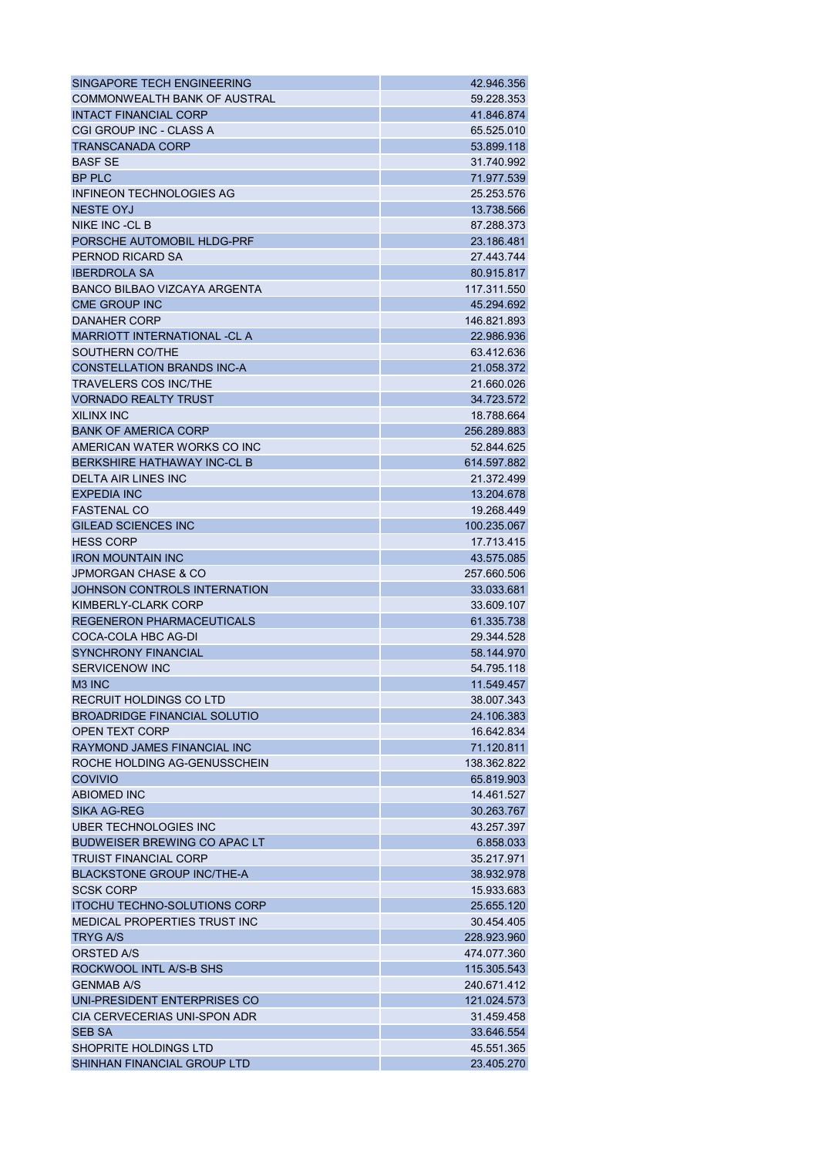| SINGAPORE TECH ENGINEERING                                        | 42.946.356  |
|-------------------------------------------------------------------|-------------|
| <b>COMMONWEALTH BANK OF AUSTRAL</b>                               | 59.228.353  |
| <b>INTACT FINANCIAL CORP</b>                                      | 41.846.874  |
| CGI GROUP INC - CLASS A                                           | 65.525.010  |
| <b>TRANSCANADA CORP</b>                                           | 53.899.118  |
| <b>BASF SE</b>                                                    | 31.740.992  |
| <b>BP PLC</b>                                                     | 71.977.539  |
| INFINEON TECHNOLOGIES AG                                          | 25.253.576  |
| <b>NESTE OYJ</b>                                                  | 13.738.566  |
| NIKE INC -CL B                                                    | 87.288.373  |
| PORSCHE AUTOMOBIL HLDG-PRF                                        | 23.186.481  |
| PERNOD RICARD SA                                                  | 27.443.744  |
| <b>IBERDROLA SA</b>                                               | 80.915.817  |
| <b>BANCO BILBAO VIZCAYA ARGENTA</b>                               | 117.311.550 |
| <b>CME GROUP INC</b>                                              | 45.294.692  |
| DANAHER CORP                                                      | 146.821.893 |
| <b>MARRIOTT INTERNATIONAL -CL A</b>                               | 22.986.936  |
| SOUTHERN CO/THE                                                   | 63.412.636  |
| <b>CONSTELLATION BRANDS INC-A</b>                                 | 21.058.372  |
| <b>TRAVELERS COS INC/THE</b>                                      | 21.660.026  |
| <b>VORNADO REALTY TRUST</b>                                       | 34.723.572  |
| <b>XILINX INC</b>                                                 | 18.788.664  |
| <b>BANK OF AMERICA CORP</b>                                       |             |
|                                                                   | 256.289.883 |
| AMERICAN WATER WORKS CO INC<br><b>BERKSHIRE HATHAWAY INC-CL B</b> | 52.844.625  |
|                                                                   | 614.597.882 |
| <b>DELTA AIR LINES INC</b>                                        | 21.372.499  |
| <b>EXPEDIA INC</b>                                                | 13.204.678  |
| <b>FASTENAL CO</b>                                                | 19.268.449  |
| <b>GILEAD SCIENCES INC</b>                                        | 100.235.067 |
| <b>HESS CORP</b>                                                  | 17.713.415  |
| <b>IRON MOUNTAIN INC</b>                                          | 43.575.085  |
| <b>JPMORGAN CHASE &amp; CO</b>                                    | 257.660.506 |
| JOHNSON CONTROLS INTERNATION                                      | 33.033.681  |
| KIMBERLY-CLARK CORP                                               | 33.609.107  |
| <b>REGENERON PHARMACEUTICALS</b>                                  | 61.335.738  |
| COCA-COLA HBC AG-DI                                               | 29.344.528  |
| <b>SYNCHRONY FINANCIAL</b><br>SERVICENOW INC                      | 58.144.970  |
|                                                                   | 54.795.118  |
| M <sub>3</sub> INC                                                | 11.549.457  |
| RECRUIT HOLDINGS CO LTD                                           | 38.007.343  |
| <b>BROADRIDGE FINANCIAL SOLUTIO</b>                               | 24.106.383  |
| <b>OPEN TEXT CORP</b>                                             | 16.642.834  |
| RAYMOND JAMES FINANCIAL INC                                       | 71.120.811  |
| ROCHE HOLDING AG-GENUSSCHEIN                                      | 138.362.822 |
| <b>COVIVIO</b>                                                    | 65.819.903  |
| <b>ABIOMED INC</b>                                                | 14.461.527  |
| <b>SIKA AG-REG</b>                                                | 30.263.767  |
| UBER TECHNOLOGIES INC                                             | 43.257.397  |
| <b>BUDWEISER BREWING CO APAC LT</b>                               | 6.858.033   |
| <b>TRUIST FINANCIAL CORP</b>                                      | 35.217.971  |
| <b>BLACKSTONE GROUP INC/THE-A</b>                                 | 38.932.978  |
| <b>SCSK CORP</b>                                                  | 15.933.683  |
| <b>ITOCHU TECHNO-SOLUTIONS CORP</b>                               | 25.655.120  |
| MEDICAL PROPERTIES TRUST INC                                      | 30.454.405  |
| <b>TRYG A/S</b>                                                   | 228.923.960 |
| ORSTED A/S                                                        | 474.077.360 |
| ROCKWOOL INTL A/S-B SHS                                           | 115.305.543 |
| <b>GENMAB A/S</b>                                                 | 240.671.412 |
| UNI-PRESIDENT ENTERPRISES CO                                      | 121.024.573 |
| CIA CERVECERIAS UNI-SPON ADR                                      | 31.459.458  |
| <b>SEB SA</b>                                                     | 33.646.554  |
| SHOPRITE HOLDINGS LTD                                             | 45.551.365  |
| SHINHAN FINANCIAL GROUP LTD                                       | 23.405.270  |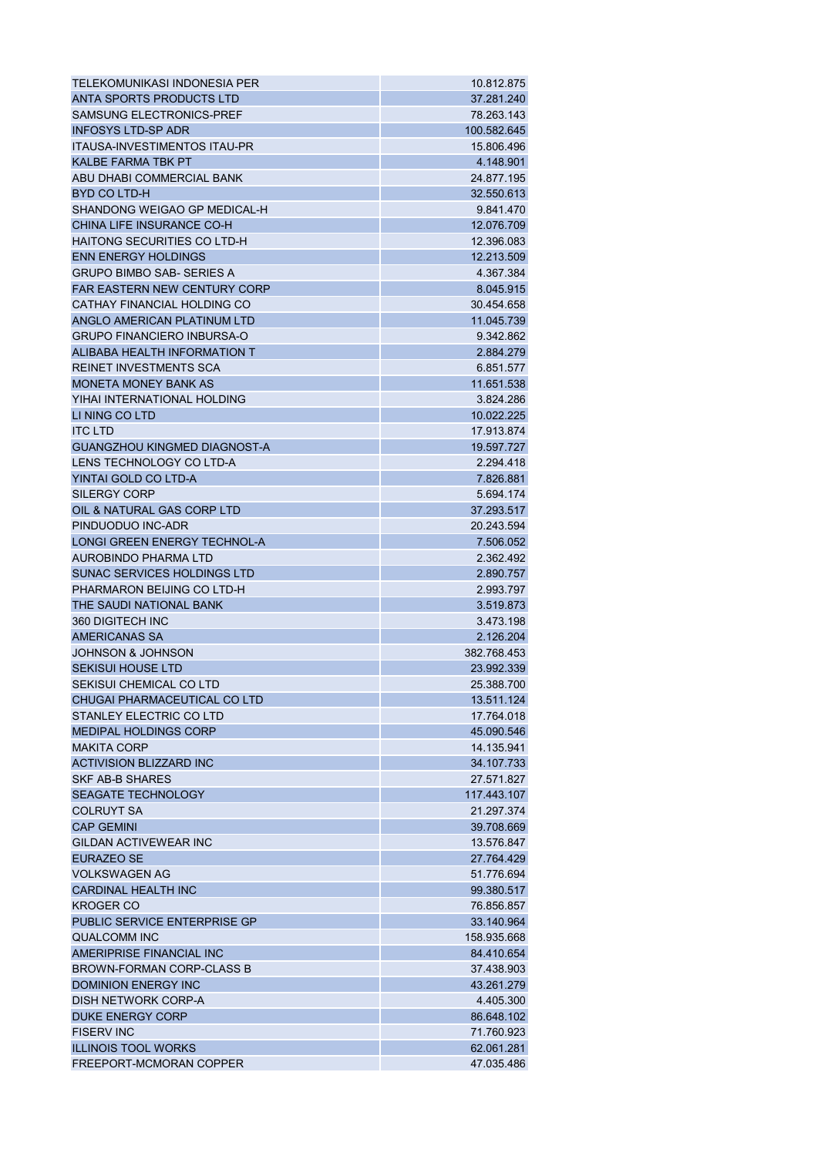| TELEKOMUNIKASI INDONESIA PER        | 10.812.875  |
|-------------------------------------|-------------|
| ANTA SPORTS PRODUCTS LTD            | 37.281.240  |
| SAMSUNG ELECTRONICS-PREF            | 78.263.143  |
| <b>INFOSYS LTD-SP ADR</b>           | 100.582.645 |
| <b>ITAUSA-INVESTIMENTOS ITAU-PR</b> | 15.806.496  |
| <b>KALBE FARMA TBK PT</b>           | 4.148.901   |
| ABU DHABI COMMERCIAL BANK           | 24.877.195  |
| <b>BYD CO LTD-H</b>                 | 32.550.613  |
| SHANDONG WEIGAO GP MEDICAL-H        | 9.841.470   |
| CHINA LIFE INSURANCE CO-H           | 12.076.709  |
| HAITONG SECURITIES CO LTD-H         | 12.396.083  |
| <b>ENN ENERGY HOLDINGS</b>          | 12.213.509  |
| <b>GRUPO BIMBO SAB- SERIES A</b>    | 4.367.384   |
| <b>FAR EASTERN NEW CENTURY CORP</b> | 8.045.915   |
| CATHAY FINANCIAL HOLDING CO         | 30.454.658  |
| ANGLO AMERICAN PLATINUM LTD         | 11.045.739  |
| <b>GRUPO FINANCIERO INBURSA-O</b>   | 9.342.862   |
| ALIBABA HEALTH INFORMATION T        | 2.884.279   |
| <b>REINET INVESTMENTS SCA</b>       | 6.851.577   |
| <b>MONETA MONEY BANK AS</b>         | 11.651.538  |
| YIHAI INTERNATIONAL HOLDING         | 3.824.286   |
| LI NING CO LTD                      | 10.022.225  |
| <b>ITC LTD</b>                      | 17.913.874  |
| <b>GUANGZHOU KINGMED DIAGNOST-A</b> | 19.597.727  |
| LENS TECHNOLOGY CO LTD-A            | 2.294.418   |
| YINTAI GOLD CO LTD-A                | 7.826.881   |
| SILERGY CORP                        | 5.694.174   |
| OIL & NATURAL GAS CORP LTD          | 37.293.517  |
| PINDUODUO INC-ADR                   | 20.243.594  |
| <b>LONGI GREEN ENERGY TECHNOL-A</b> | 7.506.052   |
| AUROBINDO PHARMA LTD                | 2.362.492   |
| SUNAC SERVICES HOLDINGS LTD         | 2.890.757   |
| PHARMARON BEIJING CO LTD-H          | 2.993.797   |
| THE SAUDI NATIONAL BANK             | 3.519.873   |
| 360 DIGITECH INC                    | 3.473.198   |
| <b>AMERICANAS SA</b>                | 2.126.204   |
| <b>JOHNSON &amp; JOHNSON</b>        | 382.768.453 |
| <b>SEKISUI HOUSE LTD</b>            | 23.992.339  |
| SEKISUI CHEMICAL CO LTD             | 25.388.700  |
| CHUGAI PHARMACEUTICAL CO LTD        | 13.511.124  |
| STANLEY ELECTRIC CO LTD             | 17.764.018  |
| <b>MEDIPAL HOLDINGS CORP</b>        | 45.090.546  |
| <b>MAKITA CORP</b>                  | 14.135.941  |
| <b>ACTIVISION BLIZZARD INC</b>      | 34.107.733  |
| <b>SKF AB-B SHARES</b>              | 27.571.827  |
| <b>SEAGATE TECHNOLOGY</b>           | 117.443.107 |
| <b>COLRUYT SA</b>                   | 21.297.374  |
| <b>CAP GEMINI</b>                   | 39.708.669  |
| <b>GILDAN ACTIVEWEAR INC</b>        |             |
|                                     | 13.576.847  |
| <b>EURAZEO SE</b>                   | 27.764.429  |
| <b>VOLKSWAGEN AG</b>                | 51.776.694  |
| <b>CARDINAL HEALTH INC</b>          | 99.380.517  |
| <b>KROGER CO</b>                    | 76.856.857  |
| PUBLIC SERVICE ENTERPRISE GP        | 33.140.964  |
| <b>QUALCOMM INC</b>                 | 158.935.668 |
| AMERIPRISE FINANCIAL INC            | 84.410.654  |
| <b>BROWN-FORMAN CORP-CLASS B</b>    | 37.438.903  |
| <b>DOMINION ENERGY INC</b>          | 43.261.279  |
| DISH NETWORK CORP-A                 | 4.405.300   |
| <b>DUKE ENERGY CORP</b>             | 86.648.102  |
| <b>FISERV INC</b>                   | 71.760.923  |
| <b>ILLINOIS TOOL WORKS</b>          | 62.061.281  |
| FREEPORT-MCMORAN COPPER             | 47.035.486  |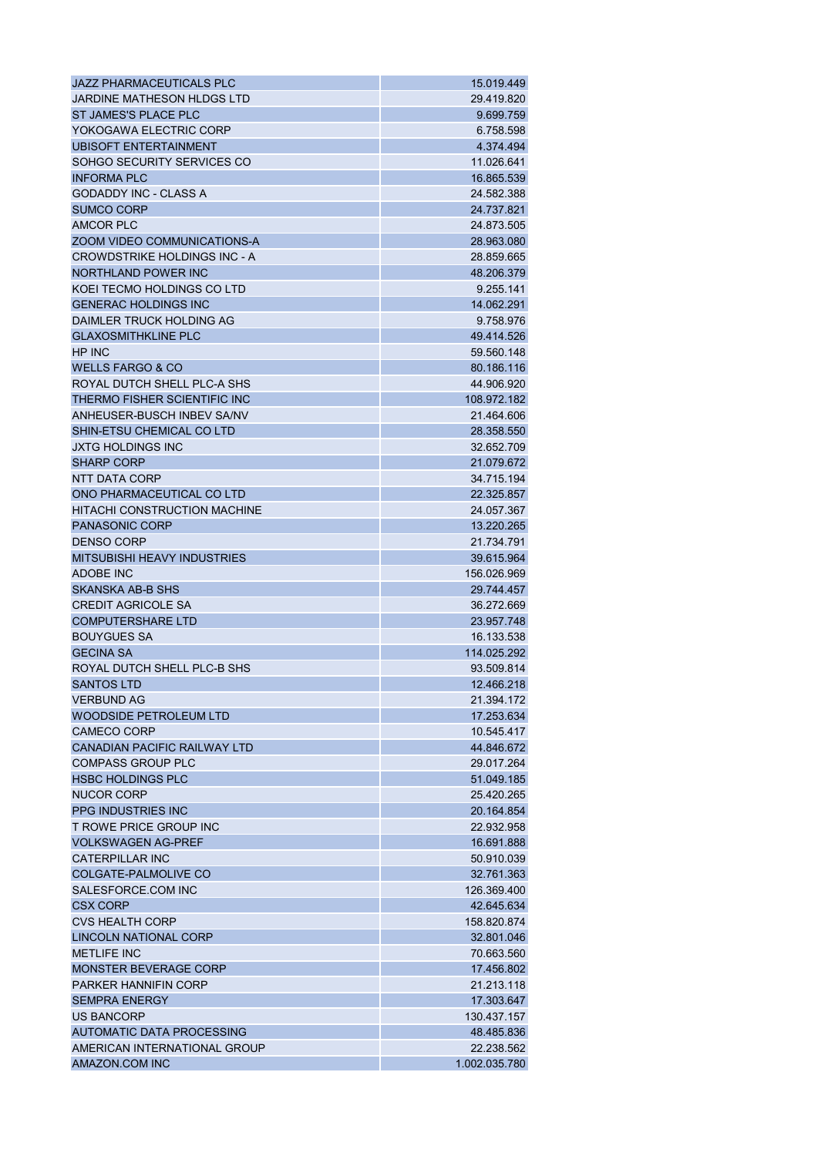| JAZZ PHARMACEUTICALS PLC            | 15.019.449    |
|-------------------------------------|---------------|
| JARDINE MATHESON HLDGS LTD          | 29.419.820    |
| ST JAMES'S PLACE PLC                | 9.699.759     |
| YOKOGAWA ELECTRIC CORP              | 6.758.598     |
| <b>UBISOFT ENTERTAINMENT</b>        | 4.374.494     |
| SOHGO SECURITY SERVICES CO          | 11.026.641    |
| <b>INFORMA PLC</b>                  | 16.865.539    |
| <b>GODADDY INC - CLASS A</b>        | 24.582.388    |
| <b>SUMCO CORP</b>                   | 24.737.821    |
| <b>AMCOR PLC</b>                    | 24.873.505    |
| ZOOM VIDEO COMMUNICATIONS-A         | 28.963.080    |
| <b>CROWDSTRIKE HOLDINGS INC - A</b> | 28.859.665    |
| NORTHLAND POWER INC                 | 48.206.379    |
| KOEI TECMO HOLDINGS CO LTD          | 9.255.141     |
| <b>GENERAC HOLDINGS INC</b>         | 14.062.291    |
| DAIMLER TRUCK HOLDING AG            | 9.758.976     |
| <b>GLAXOSMITHKLINE PLC</b>          | 49.414.526    |
| HP INC                              | 59.560.148    |
| <b>WELLS FARGO &amp; CO</b>         | 80.186.116    |
| ROYAL DUTCH SHELL PLC-A SHS         | 44.906.920    |
| THERMO FISHER SCIENTIFIC INC        | 108.972.182   |
| ANHEUSER-BUSCH INBEV SA/NV          | 21.464.606    |
| SHIN-ETSU CHEMICAL CO LTD           | 28.358.550    |
| <b>JXTG HOLDINGS INC</b>            | 32.652.709    |
| <b>SHARP CORP</b>                   |               |
|                                     | 21.079.672    |
| NTT DATA CORP                       | 34.715.194    |
| ONO PHARMACEUTICAL CO LTD           | 22.325.857    |
| <b>HITACHI CONSTRUCTION MACHINE</b> | 24.057.367    |
| <b>PANASONIC CORP</b>               | 13.220.265    |
| <b>DENSO CORP</b>                   | 21.734.791    |
| <b>MITSUBISHI HEAVY INDUSTRIES</b>  | 39.615.964    |
| <b>ADOBE INC</b>                    | 156.026.969   |
| SKANSKA AB-B SHS                    | 29.744.457    |
| <b>CREDIT AGRICOLE SA</b>           | 36.272.669    |
| <b>COMPUTERSHARE LTD</b>            | 23.957.748    |
| <b>BOUYGUES SA</b>                  | 16.133.538    |
| <b>GECINA SA</b>                    | 114.025.292   |
| ROYAL DUTCH SHELL PLC-B SHS         | 93.509.814    |
| <b>SANTOS LTD</b>                   | 12.466.218    |
| <b>VERBUND AG</b>                   | 21.394.172    |
| <b>WOODSIDE PETROLEUM LTD</b>       | 17.253.634    |
| <b>CAMECO CORP</b>                  | 10.545.417    |
| <b>CANADIAN PACIFIC RAILWAY LTD</b> | 44.846.672    |
| <b>COMPASS GROUP PLC</b>            | 29.017.264    |
| <b>HSBC HOLDINGS PLC</b>            | 51.049.185    |
| <b>NUCOR CORP</b>                   | 25.420.265    |
| <b>PPG INDUSTRIES INC</b>           | 20.164.854    |
| T ROWE PRICE GROUP INC              | 22.932.958    |
| <b>VOLKSWAGEN AG-PREF</b>           | 16.691.888    |
| <b>CATERPILLAR INC</b>              | 50.910.039    |
| COLGATE-PALMOLIVE CO                | 32.761.363    |
| SALESFORCE.COM INC                  | 126.369.400   |
| <b>CSX CORP</b>                     | 42.645.634    |
| <b>CVS HEALTH CORP</b>              | 158.820.874   |
| LINCOLN NATIONAL CORP               | 32.801.046    |
| <b>METLIFE INC</b>                  | 70.663.560    |
| <b>MONSTER BEVERAGE CORP</b>        | 17.456.802    |
| <b>PARKER HANNIFIN CORP</b>         | 21.213.118    |
| <b>SEMPRA ENERGY</b>                | 17.303.647    |
| US BANCORP                          | 130.437.157   |
| AUTOMATIC DATA PROCESSING           | 48.485.836    |
| AMERICAN INTERNATIONAL GROUP        | 22.238.562    |
| AMAZON.COM INC                      | 1.002.035.780 |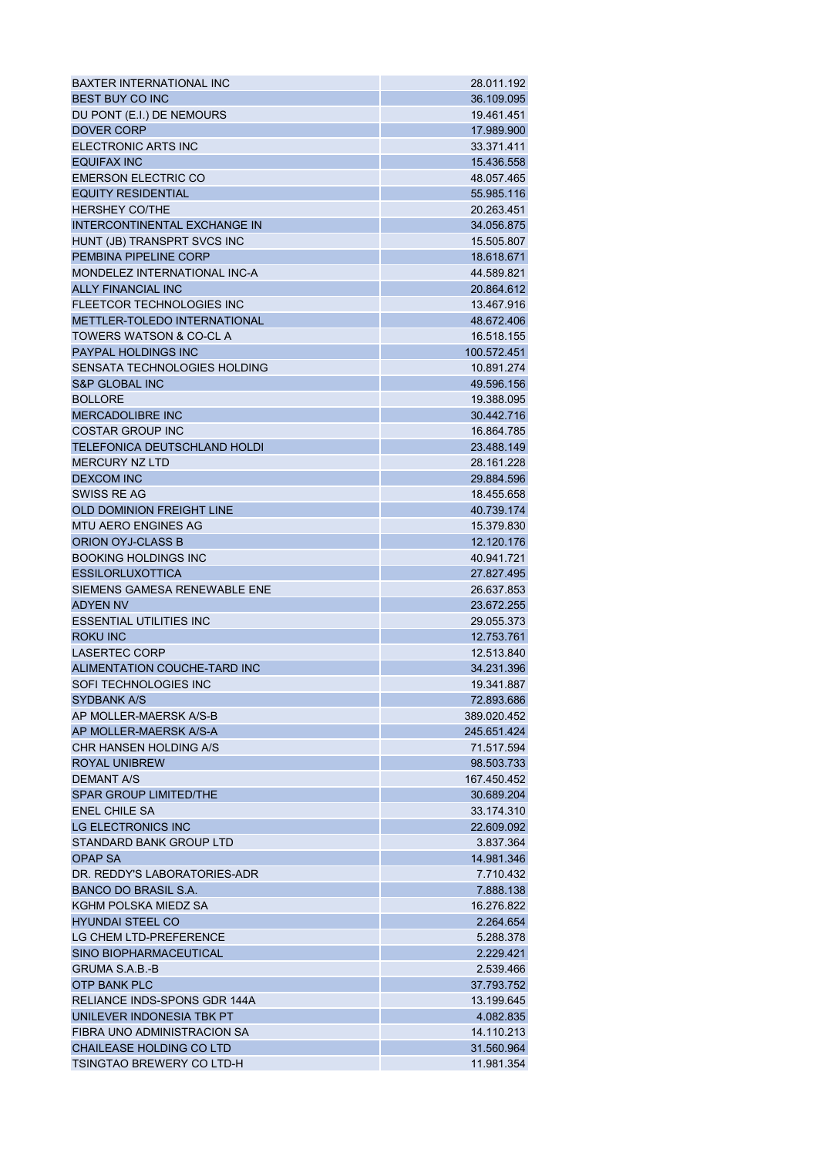| <b>BAXTER INTERNATIONAL INC</b>     | 28.011.192               |
|-------------------------------------|--------------------------|
| <b>BEST BUY CO INC</b>              | 36.109.095               |
| DU PONT (E.I.) DE NEMOURS           | 19.461.451               |
| <b>DOVER CORP</b>                   | 17.989.900               |
| <b>ELECTRONIC ARTS INC</b>          | 33.371.411               |
| <b>EQUIFAX INC</b>                  | 15.436.558               |
| <b>EMERSON ELECTRIC CO</b>          | 48.057.465               |
| <b>EQUITY RESIDENTIAL</b>           | 55.985.116               |
| <b>HERSHEY CO/THE</b>               | 20.263.451               |
| INTERCONTINENTAL EXCHANGE IN        | 34.056.875               |
| HUNT (JB) TRANSPRT SVCS INC         | 15.505.807               |
| PEMBINA PIPELINE CORP               | 18.618.671               |
| MONDELEZ INTERNATIONAL INC-A        | 44.589.821               |
| <b>ALLY FINANCIAL INC</b>           | 20.864.612               |
| <b>FLEETCOR TECHNOLOGIES INC</b>    | 13.467.916               |
| <b>METTLER-TOLEDO INTERNATIONAL</b> | 48.672.406               |
| <b>TOWERS WATSON &amp; CO-CL A</b>  | 16.518.155               |
| <b>PAYPAL HOLDINGS INC</b>          | 100.572.451              |
| SENSATA TECHNOLOGIES HOLDING        | 10.891.274               |
| <b>S&amp;P GLOBAL INC</b>           | 49.596.156               |
| <b>BOLLORE</b>                      | 19.388.095               |
| <b>MERCADOLIBRE INC</b>             | 30.442.716               |
| <b>COSTAR GROUP INC</b>             | 16.864.785               |
| <b>TELEFONICA DEUTSCHLAND HOLDI</b> | 23.488.149               |
| <b>MERCURY NZ LTD</b>               |                          |
| <b>DEXCOM INC</b>                   | 28.161.228<br>29.884.596 |
| SWISS RE AG                         |                          |
| <b>OLD DOMINION FREIGHT LINE</b>    | 18.455.658<br>40.739.174 |
| <b>MTU AERO ENGINES AG</b>          | 15.379.830               |
| ORION OYJ-CLASS B                   | 12.120.176               |
| <b>BOOKING HOLDINGS INC</b>         | 40.941.721               |
| <b>ESSILORLUXOTTICA</b>             | 27.827.495               |
| SIEMENS GAMESA RENEWABLE ENE        | 26.637.853               |
| <b>ADYEN NV</b>                     | 23.672.255               |
| <b>ESSENTIAL UTILITIES INC</b>      | 29.055.373               |
| <b>ROKU INC</b>                     | 12.753.761               |
| <b>LASERTEC CORP</b>                | 12.513.840               |
| ALIMENTATION COUCHE-TARD INC        | 34.231.396               |
| SOFI TECHNOLOGIES INC               | 19.341.887               |
| <b>SYDBANK A/S</b>                  | 72.893.686               |
| AP MOLLER-MAERSK A/S-B              | 389.020.452              |
| AP MOLLER-MAERSK A/S-A              | 245.651.424              |
| CHR HANSEN HOLDING A/S              | 71.517.594               |
| <b>ROYAL UNIBREW</b>                | 98.503.733               |
| <b>DEMANT A/S</b>                   | 167.450.452              |
| <b>SPAR GROUP LIMITED/THE</b>       | 30.689.204               |
| <b>ENEL CHILE SA</b>                | 33.174.310               |
| LG ELECTRONICS INC                  | 22.609.092               |
| STANDARD BANK GROUP LTD             | 3.837.364                |
|                                     |                          |
| <b>OPAP SA</b>                      | 14.981.346               |
| DR. REDDY'S LABORATORIES-ADR        | 7.710.432                |
| <b>BANCO DO BRASIL S.A.</b>         | 7.888.138                |
| KGHM POLSKA MIEDZ SA                | 16.276.822               |
| <b>HYUNDAI STEEL CO</b>             | 2.264.654                |
| LG CHEM LTD-PREFERENCE              | 5.288.378                |
| SINO BIOPHARMACEUTICAL              | 2.229.421                |
| <b>GRUMA S.A.B.-B</b>               | 2.539.466                |
| <b>OTP BANK PLC</b>                 | 37.793.752               |
| RELIANCE INDS-SPONS GDR 144A        | 13.199.645               |
| UNILEVER INDONESIA TBK PT           | 4.082.835                |
| FIBRA UNO ADMINISTRACION SA         | 14.110.213               |
| <b>CHAILEASE HOLDING CO LTD</b>     | 31.560.964               |
| TSINGTAO BREWERY CO LTD-H           | 11.981.354               |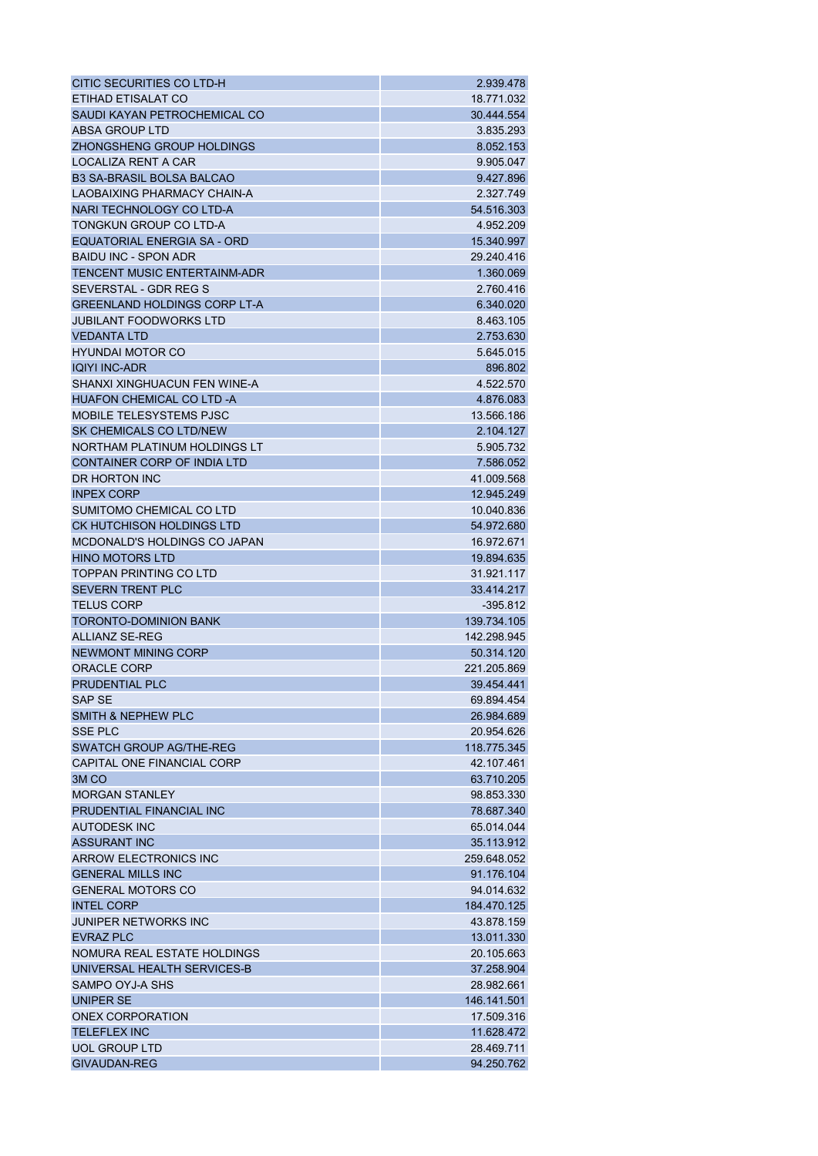| CITIC SECURITIES CO LTD-H           | 2.939.478   |
|-------------------------------------|-------------|
| ETIHAD ETISALAT CO                  | 18.771.032  |
| SAUDI KAYAN PETROCHEMICAL CO        | 30.444.554  |
| <b>ABSA GROUP LTD</b>               | 3.835.293   |
| ZHONGSHENG GROUP HOLDINGS           | 8.052.153   |
| LOCALIZA RENT A CAR                 | 9.905.047   |
| <b>B3 SA-BRASIL BOLSA BALCAO</b>    | 9.427.896   |
| LAOBAIXING PHARMACY CHAIN-A         | 2.327.749   |
| NARI TECHNOLOGY CO LTD-A            | 54.516.303  |
| TONGKUN GROUP CO LTD-A              | 4.952.209   |
| EQUATORIAL ENERGIA SA - ORD         | 15.340.997  |
| <b>BAIDU INC - SPON ADR</b>         | 29.240.416  |
| <b>TENCENT MUSIC ENTERTAINM-ADR</b> | 1.360.069   |
| SEVERSTAL - GDR REG S               | 2.760.416   |
| <b>GREENLAND HOLDINGS CORP LT-A</b> | 6.340.020   |
| <b>JUBILANT FOODWORKS LTD</b>       | 8.463.105   |
| <b>VEDANTA LTD</b>                  | 2.753.630   |
| <b>HYUNDAI MOTOR CO</b>             | 5.645.015   |
| <b>IQIYI INC-ADR</b>                | 896.802     |
| SHANXI XINGHUACUN FEN WINE-A        | 4.522.570   |
| <b>HUAFON CHEMICAL CO LTD -A</b>    | 4.876.083   |
| <b>MOBILE TELESYSTEMS PJSC</b>      | 13.566.186  |
| SK CHEMICALS CO LTD/NEW             |             |
|                                     | 2.104.127   |
| NORTHAM PLATINUM HOLDINGS LT        | 5.905.732   |
| <b>CONTAINER CORP OF INDIA LTD</b>  | 7.586.052   |
| DR HORTON INC                       | 41.009.568  |
| <b>INPEX CORP</b>                   | 12.945.249  |
| SUMITOMO CHEMICAL CO LTD            | 10.040.836  |
| <b>CK HUTCHISON HOLDINGS LTD</b>    | 54.972.680  |
| MCDONALD'S HOLDINGS CO JAPAN        | 16.972.671  |
| <b>HINO MOTORS LTD</b>              | 19.894.635  |
| <b>TOPPAN PRINTING CO LTD</b>       | 31.921.117  |
| <b>SEVERN TRENT PLC</b>             | 33.414.217  |
| <b>TELUS CORP</b>                   | -395.812    |
| <b>TORONTO-DOMINION BANK</b>        | 139.734.105 |
| <b>ALLIANZ SE-REG</b>               | 142.298.945 |
| NEWMONT MINING CORP                 | 50.314.120  |
| <b>ORACLE CORP</b>                  | 221.205.869 |
| <b>PRUDENTIAL PLC</b>               | 39.454.441  |
| SAP SE                              | 69.894.454  |
| <b>SMITH &amp; NEPHEW PLC</b>       | 26.984.689  |
| <b>SSE PLC</b>                      | 20.954.626  |
| SWATCH GROUP AG/THE-REG             | 118.775.345 |
| CAPITAL ONE FINANCIAL CORP          | 42.107.461  |
| 3M <sub>CO</sub>                    | 63.710.205  |
| <b>MORGAN STANLEY</b>               | 98.853.330  |
| PRUDENTIAL FINANCIAL INC            | 78.687.340  |
| <b>AUTODESK INC</b>                 | 65.014.044  |
| <b>ASSURANT INC</b>                 | 35.113.912  |
| ARROW ELECTRONICS INC               | 259.648.052 |
| <b>GENERAL MILLS INC</b>            | 91.176.104  |
| <b>GENERAL MOTORS CO</b>            | 94.014.632  |
| <b>INTEL CORP</b>                   | 184.470.125 |
| <b>JUNIPER NETWORKS INC</b>         | 43.878.159  |
| <b>EVRAZ PLC</b>                    | 13.011.330  |
| NOMURA REAL ESTATE HOLDINGS         | 20.105.663  |
| UNIVERSAL HEALTH SERVICES-B         | 37.258.904  |
| SAMPO OYJ-A SHS                     | 28.982.661  |
| <b>UNIPER SE</b>                    | 146.141.501 |
| ONEX CORPORATION                    | 17.509.316  |
| <b>TELEFLEX INC</b>                 | 11.628.472  |
| <b>UOL GROUP LTD</b>                | 28.469.711  |
| <b>GIVAUDAN-REG</b>                 | 94.250.762  |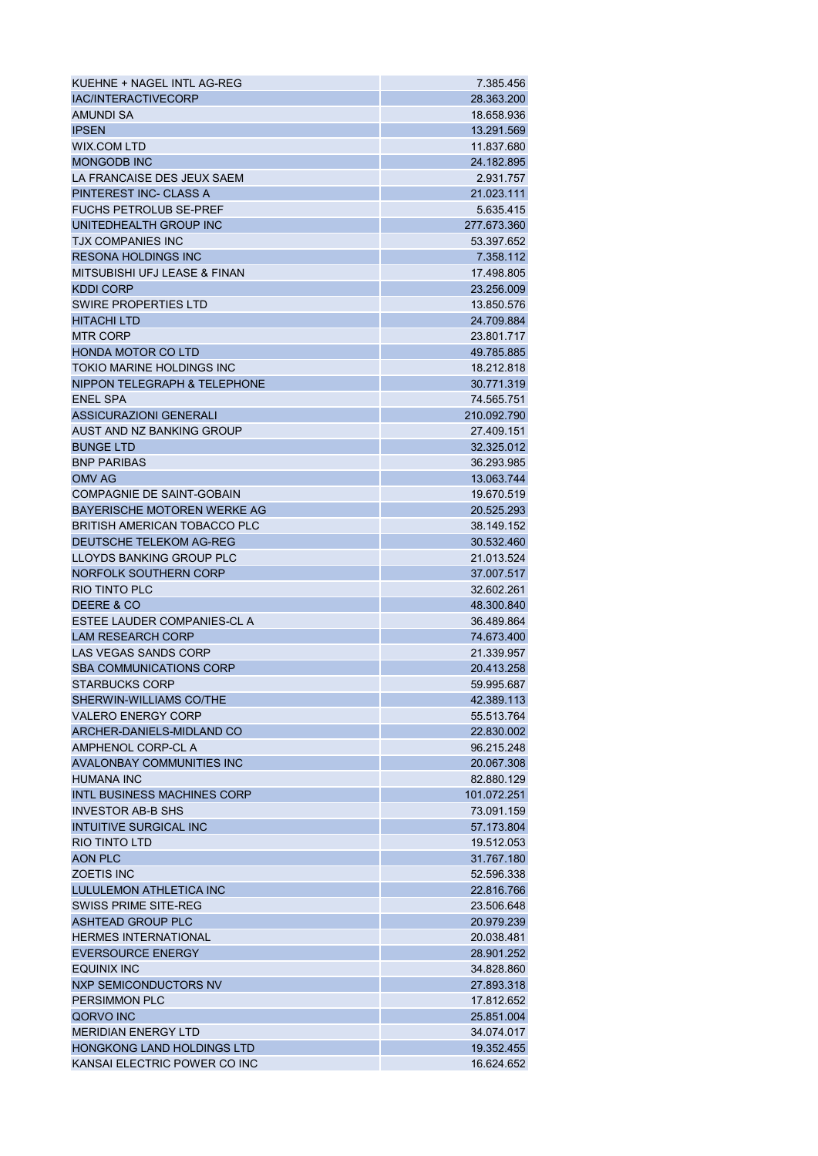| KUEHNE + NAGEL INTL AG-REG                              | 7.385.456                |
|---------------------------------------------------------|--------------------------|
| <b>IAC/INTERACTIVECORP</b>                              | 28.363.200               |
| <b>AMUNDI SA</b>                                        | 18.658.936               |
| <b>IPSEN</b>                                            | 13.291.569               |
| <b>WIX.COM LTD</b>                                      | 11.837.680               |
| <b>MONGODB INC</b>                                      | 24.182.895               |
| LA FRANCAISE DES JEUX SAEM                              | 2.931.757                |
| PINTEREST INC- CLASS A                                  | 21.023.111               |
| <b>FUCHS PETROLUB SE-PREF</b>                           | 5.635.415                |
| UNITEDHEALTH GROUP INC                                  | 277.673.360              |
| <b>TJX COMPANIES INC</b>                                | 53.397.652               |
| <b>RESONA HOLDINGS INC</b>                              | 7.358.112                |
| MITSUBISHI UFJ LEASE & FINAN                            | 17.498.805               |
| <b>KDDI CORP</b>                                        | 23.256.009               |
| SWIRE PROPERTIES LTD                                    | 13.850.576               |
| <b>HITACHI LTD</b>                                      | 24.709.884               |
| <b>MTR CORP</b>                                         | 23.801.717               |
| <b>HONDA MOTOR CO LTD</b>                               | 49.785.885               |
| TOKIO MARINE HOLDINGS INC                               | 18.212.818               |
| NIPPON TELEGRAPH & TELEPHONE                            | 30.771.319               |
| <b>ENEL SPA</b>                                         | 74.565.751               |
| <b>ASSICURAZIONI GENERALI</b>                           | 210.092.790              |
| AUST AND NZ BANKING GROUP                               | 27.409.151               |
| <b>BUNGE LTD</b>                                        | 32.325.012               |
| <b>BNP PARIBAS</b>                                      | 36.293.985               |
| <b>OMV AG</b>                                           | 13.063.744               |
| <b>COMPAGNIE DE SAINT-GOBAIN</b>                        | 19.670.519               |
| BAYERISCHE MOTOREN WERKE AG                             | 20.525.293               |
| <b>BRITISH AMERICAN TOBACCO PLC</b>                     | 38.149.152               |
| DEUTSCHE TELEKOM AG-REG                                 | 30.532.460               |
| LLOYDS BANKING GROUP PLC                                | 21.013.524               |
| NORFOLK SOUTHERN CORP                                   | 37.007.517               |
| <b>RIO TINTO PLC</b>                                    | 32.602.261               |
| DEERE & CO                                              | 48.300.840               |
| ESTEE LAUDER COMPANIES-CL A                             | 36.489.864               |
| <b>LAM RESEARCH CORP</b>                                | 74.673.400               |
| LAS VEGAS SANDS CORP                                    | 21.339.957               |
| <b>SBA COMMUNICATIONS CORP</b>                          | 20.413.258               |
| <b>STARBUCKS CORP</b>                                   | 59.995.687               |
| SHERWIN-WILLIAMS CO/THE                                 | 42.389.113               |
| <b>VALERO ENERGY CORP</b>                               | 55.513.764               |
| ARCHER-DANIELS-MIDLAND CO                               | 22.830.002               |
| AMPHENOL CORP-CL A                                      | 96.215.248               |
| <b>AVALONBAY COMMUNITIES INC</b>                        | 20.067.308               |
| <b>HUMANA INC</b>                                       | 82.880.129               |
| <b>INTL BUSINESS MACHINES CORP</b>                      | 101.072.251              |
| <b>INVESTOR AB-B SHS</b>                                | 73.091.159               |
| <b>INTUITIVE SURGICAL INC</b>                           | 57.173.804               |
| <b>RIO TINTO LTD</b>                                    | 19.512.053               |
| AON PLC                                                 | 31.767.180               |
| <b>ZOETIS INC</b>                                       | 52.596.338               |
| LULULEMON ATHLETICA INC                                 | 22.816.766               |
| <b>SWISS PRIME SITE-REG</b>                             | 23.506.648               |
| <b>ASHTEAD GROUP PLC</b>                                | 20.979.239               |
|                                                         |                          |
| <b>HERMES INTERNATIONAL</b><br><b>EVERSOURCE ENERGY</b> | 20.038.481<br>28.901.252 |
|                                                         |                          |
| <b>EQUINIX INC</b>                                      | 34.828.860               |
| NXP SEMICONDUCTORS NV                                   | 27.893.318               |
| <b>PERSIMMON PLC</b>                                    | 17.812.652               |
| QORVO INC                                               | 25.851.004               |
| <b>MERIDIAN ENERGY LTD</b>                              | 34.074.017               |
| <b>HONGKONG LAND HOLDINGS LTD</b>                       | 19.352.455               |
| KANSAI ELECTRIC POWER CO INC                            | 16.624.652               |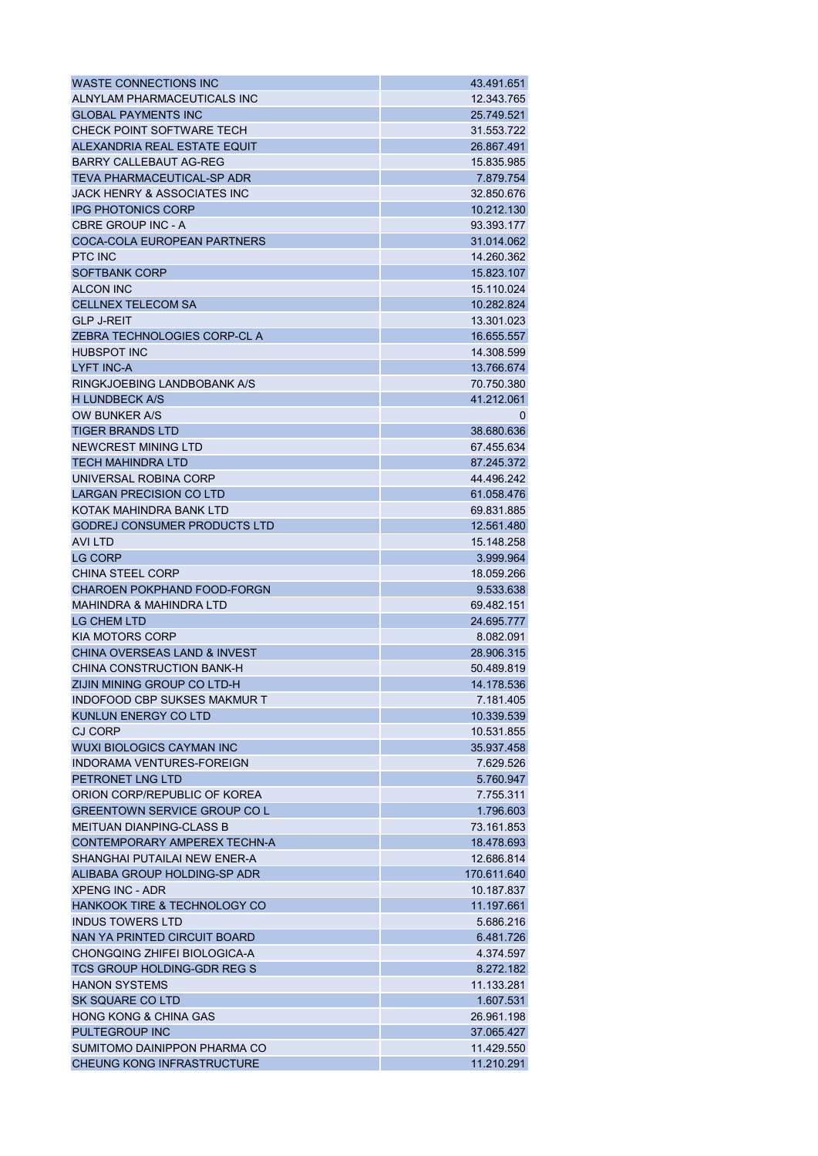| <b>WASTE CONNECTIONS INC</b>            | 43.491.651  |
|-----------------------------------------|-------------|
| ALNYLAM PHARMACEUTICALS INC             | 12.343.765  |
| <b>GLOBAL PAYMENTS INC</b>              | 25.749.521  |
| CHECK POINT SOFTWARE TECH               | 31.553.722  |
| ALEXANDRIA REAL ESTATE EQUIT            | 26.867.491  |
| <b>BARRY CALLEBAUT AG-REG</b>           | 15.835.985  |
| <b>TEVA PHARMACEUTICAL-SP ADR</b>       | 7.879.754   |
| JACK HENRY & ASSOCIATES INC             | 32.850.676  |
| <b>IPG PHOTONICS CORP</b>               | 10.212.130  |
| <b>CBRE GROUP INC - A</b>               | 93.393.177  |
| COCA-COLA EUROPEAN PARTNERS             | 31.014.062  |
| <b>PTC INC</b>                          | 14.260.362  |
| <b>SOFTBANK CORP</b>                    | 15.823.107  |
| <b>ALCON INC</b>                        | 15.110.024  |
| <b>CELLNEX TELECOM SA</b>               | 10.282.824  |
| <b>GLP J-REIT</b>                       | 13.301.023  |
| ZEBRA TECHNOLOGIES CORP-CL A            | 16.655.557  |
| <b>HUBSPOT INC</b>                      | 14.308.599  |
| <b>LYFT INC-A</b>                       | 13.766.674  |
| RINGKJOEBING LANDBOBANK A/S             | 70.750.380  |
| <b>H LUNDBECK A/S</b>                   | 41.212.061  |
| OW BUNKER A/S                           | $\Omega$    |
| <b>TIGER BRANDS LTD</b>                 | 38.680.636  |
| NEWCREST MINING LTD                     | 67.455.634  |
| <b>TECH MAHINDRA LTD</b>                | 87.245.372  |
| UNIVERSAL ROBINA CORP                   | 44.496.242  |
| LARGAN PRECISION CO LTD                 | 61.058.476  |
| KOTAK MAHINDRA BANK LTD                 | 69.831.885  |
| <b>GODREJ CONSUMER PRODUCTS LTD</b>     | 12.561.480  |
| AVI LTD                                 | 15.148.258  |
| <b>LG CORP</b>                          | 3.999.964   |
| <b>CHINA STEEL CORP</b>                 | 18.059.266  |
| <b>CHAROEN POKPHAND FOOD-FORGN</b>      | 9.533.638   |
| <b>MAHINDRA &amp; MAHINDRA LTD</b>      | 69.482.151  |
| <b>LG CHEM LTD</b>                      | 24.695.777  |
| <b>KIA MOTORS CORP</b>                  | 8.082.091   |
| <b>CHINA OVERSEAS LAND &amp; INVEST</b> | 28.906.315  |
| CHINA CONSTRUCTION BANK-H               | 50.489.819  |
| ZIJIN MINING GROUP CO LTD-H             | 14.178.536  |
| <b>INDOFOOD CBP SUKSES MAKMUR T</b>     | 7.181.405   |
| KUNLUN ENERGY CO LTD                    | 10.339.539  |
| CJ CORP                                 | 10.531.855  |
| <b>WUXI BIOLOGICS CAYMAN INC.</b>       | 35.937.458  |
| <b>INDORAMA VENTURES-FOREIGN</b>        | 7.629.526   |
| PETRONET LNG LTD                        | 5.760.947   |
| ORION CORP/REPUBLIC OF KOREA            | 7.755.311   |
| <b>GREENTOWN SERVICE GROUP CO L</b>     | 1.796.603   |
| <b>MEITUAN DIANPING-CLASS B</b>         | 73.161.853  |
| CONTEMPORARY AMPEREX TECHN-A            | 18.478.693  |
| SHANGHAI PUTAILAI NEW ENER-A            | 12.686.814  |
| ALIBABA GROUP HOLDING-SP ADR            | 170.611.640 |
| <b>XPENG INC - ADR</b>                  | 10.187.837  |
| <b>HANKOOK TIRE &amp; TECHNOLOGY CO</b> | 11.197.661  |
| <b>INDUS TOWERS LTD</b>                 | 5.686.216   |
| NAN YA PRINTED CIRCUIT BOARD            | 6.481.726   |
| CHONGQING ZHIFEI BIOLOGICA-A            | 4.374.597   |
| TCS GROUP HOLDING-GDR REG S             | 8.272.182   |
| <b>HANON SYSTEMS</b>                    | 11.133.281  |
| SK SQUARE CO LTD                        | 1.607.531   |
| <b>HONG KONG &amp; CHINA GAS</b>        | 26.961.198  |
| PULTEGROUP INC                          | 37.065.427  |
| SUMITOMO DAINIPPON PHARMA CO            | 11.429.550  |
| <b>CHEUNG KONG INFRASTRUCTURE</b>       | 11.210.291  |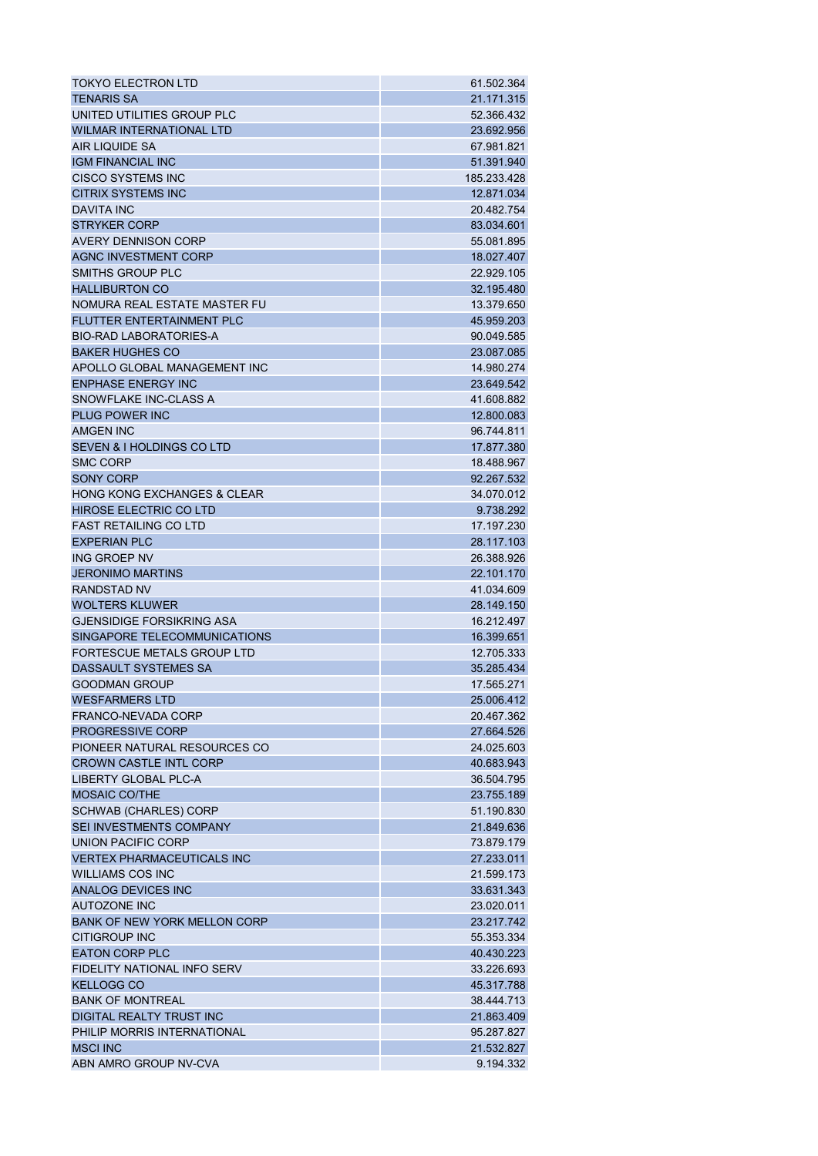| <b>TOKYO ELECTRON LTD</b>              | 61.502.364  |
|----------------------------------------|-------------|
| <b>TENARIS SA</b>                      | 21.171.315  |
| UNITED UTILITIES GROUP PLC             | 52.366.432  |
| <b>WILMAR INTERNATIONAL LTD</b>        | 23.692.956  |
| AIR LIQUIDE SA                         | 67.981.821  |
| <b>IGM FINANCIAL INC</b>               | 51.391.940  |
| <b>CISCO SYSTEMS INC</b>               | 185.233.428 |
| <b>CITRIX SYSTEMS INC</b>              | 12.871.034  |
| <b>DAVITA INC</b>                      | 20.482.754  |
| <b>STRYKER CORP</b>                    | 83.034.601  |
| AVERY DENNISON CORP                    | 55.081.895  |
| <b>AGNC INVESTMENT CORP</b>            | 18.027.407  |
| SMITHS GROUP PLC                       | 22.929.105  |
| <b>HALLIBURTON CO</b>                  | 32.195.480  |
| NOMURA REAL ESTATE MASTER FU           | 13.379.650  |
| <b>FLUTTER ENTERTAINMENT PLC</b>       | 45.959.203  |
| <b>BIO-RAD LABORATORIES-A</b>          | 90.049.585  |
| <b>BAKER HUGHES CO</b>                 | 23.087.085  |
| APOLLO GLOBAL MANAGEMENT INC           | 14.980.274  |
| <b>ENPHASE ENERGY INC</b>              | 23.649.542  |
| SNOWFLAKE INC-CLASS A                  | 41.608.882  |
| <b>PLUG POWER INC</b>                  | 12.800.083  |
| AMGEN INC                              | 96.744.811  |
|                                        |             |
| <b>SEVEN &amp; I HOLDINGS CO LTD</b>   | 17.877.380  |
| <b>SMC CORP</b>                        | 18.488.967  |
| <b>SONY CORP</b>                       | 92.267.532  |
| <b>HONG KONG EXCHANGES &amp; CLEAR</b> | 34.070.012  |
| <b>HIROSE ELECTRIC CO LTD</b>          | 9.738.292   |
| <b>FAST RETAILING CO LTD</b>           | 17.197.230  |
| <b>EXPERIAN PLC</b>                    | 28.117.103  |
| ING GROEP NV                           | 26.388.926  |
| <b>JERONIMO MARTINS</b>                | 22.101.170  |
| <b>RANDSTAD NV</b>                     | 41.034.609  |
| <b>WOLTERS KLUWER</b>                  | 28.149.150  |
| <b>GJENSIDIGE FORSIKRING ASA</b>       | 16.212.497  |
| SINGAPORE TELECOMMUNICATIONS           | 16.399.651  |
| FORTESCUE METALS GROUP LTD             | 12.705.333  |
| DASSAULT SYSTEMES SA                   | 35.285.434  |
| <b>GOODMAN GROUP</b>                   | 17.565.271  |
| <b>WESFARMERS LTD</b>                  | 25.006.412  |
| FRANCO-NEVADA CORP                     | 20.467.362  |
| <b>PROGRESSIVE CORP</b>                | 27.664.526  |
| PIONEER NATURAL RESOURCES CO           | 24.025.603  |
| <b>CROWN CASTLE INTL CORP</b>          | 40.683.943  |
| <b>LIBERTY GLOBAL PLC-A</b>            | 36.504.795  |
| <b>MOSAIC CO/THE</b>                   | 23.755.189  |
| <b>SCHWAB (CHARLES) CORP</b>           | 51.190.830  |
| SEI INVESTMENTS COMPANY                | 21.849.636  |
| UNION PACIFIC CORP                     | 73.879.179  |
| <b>VERTEX PHARMACEUTICALS INC</b>      | 27.233.011  |
| <b>WILLIAMS COS INC</b>                | 21.599.173  |
| ANALOG DEVICES INC                     | 33.631.343  |
| <b>AUTOZONE INC</b>                    | 23.020.011  |
| <b>BANK OF NEW YORK MELLON CORP</b>    | 23.217.742  |
| <b>CITIGROUP INC</b>                   | 55.353.334  |
| <b>EATON CORP PLC</b>                  | 40.430.223  |
| FIDELITY NATIONAL INFO SERV            | 33.226.693  |
| <b>KELLOGG CO</b>                      | 45.317.788  |
| <b>BANK OF MONTREAL</b>                | 38.444.713  |
| DIGITAL REALTY TRUST INC               | 21.863.409  |
| PHILIP MORRIS INTERNATIONAL            | 95.287.827  |
| <b>MSCI INC</b>                        | 21.532.827  |
| ABN AMRO GROUP NV-CVA                  | 9.194.332   |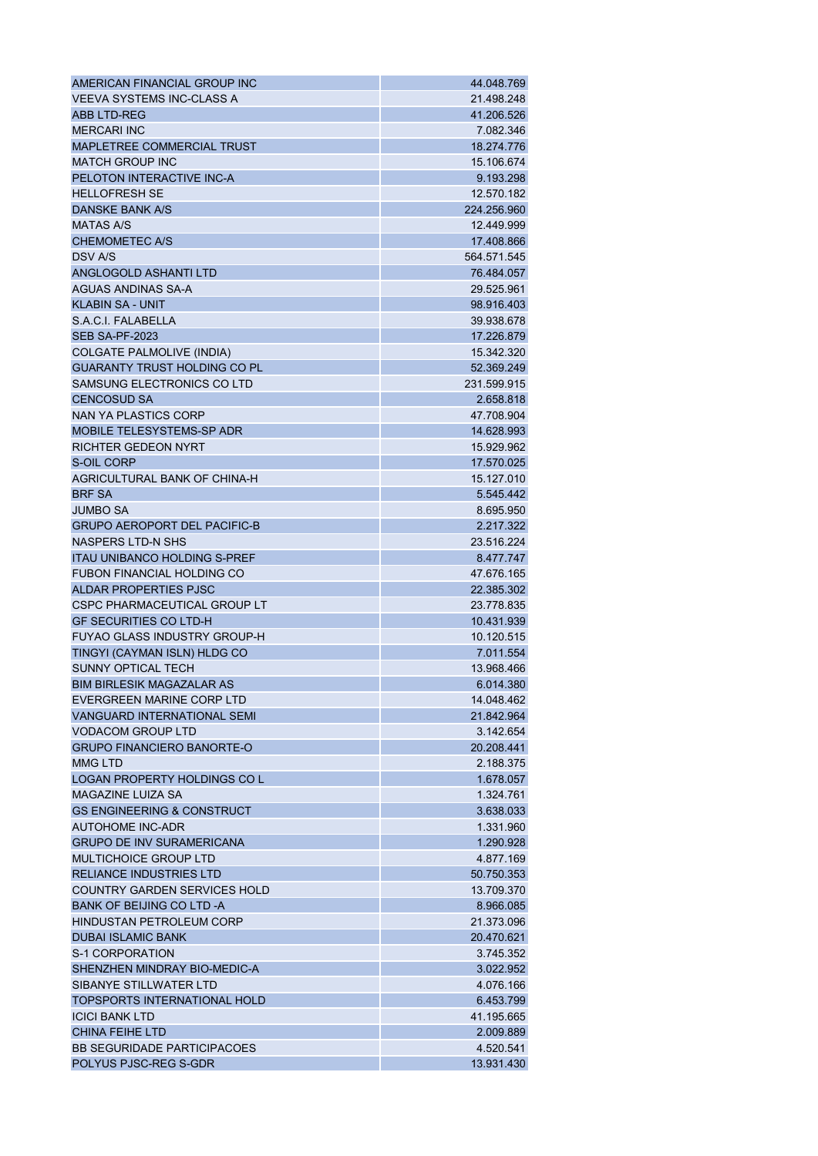| AMERICAN FINANCIAL GROUP INC          | 44.048.769              |
|---------------------------------------|-------------------------|
| <b>VEEVA SYSTEMS INC-CLASS A</b>      | 21.498.248              |
| <b>ABB LTD-REG</b>                    | 41.206.526              |
| <b>MERCARI INC</b>                    | 7.082.346               |
| MAPLETREE COMMERCIAL TRUST            | 18.274.776              |
| <b>MATCH GROUP INC</b>                | 15.106.674              |
| PELOTON INTERACTIVE INC-A             | 9.193.298               |
| <b>HELLOFRESH SE</b>                  | 12.570.182              |
| <b>DANSKE BANK A/S</b>                | 224.256.960             |
| <b>MATAS A/S</b>                      | 12.449.999              |
| <b>CHEMOMETEC A/S</b>                 | 17.408.866              |
| <b>DSV A/S</b>                        | 564.571.545             |
| ANGLOGOLD ASHANTI LTD                 | 76.484.057              |
| AGUAS ANDINAS SA-A                    | 29.525.961              |
| <b>KLABIN SA - UNIT</b>               | 98.916.403              |
| S.A.C.I. FALABELLA                    | 39.938.678              |
| <b>SEB SA-PF-2023</b>                 | 17.226.879              |
| <b>COLGATE PALMOLIVE (INDIA)</b>      | 15.342.320              |
| <b>GUARANTY TRUST HOLDING CO PL</b>   | 52.369.249              |
| SAMSUNG ELECTRONICS CO LTD            | 231.599.915             |
| <b>CENCOSUD SA</b>                    | 2.658.818               |
| NAN YA PLASTICS CORP                  | 47.708.904              |
| <b>MOBILE TELESYSTEMS-SP ADR</b>      | 14.628.993              |
| <b>RICHTER GEDEON NYRT</b>            | 15.929.962              |
| S-OIL CORP                            | 17.570.025              |
| AGRICULTURAL BANK OF CHINA-H          | 15.127.010              |
| <b>BRF SA</b>                         | 5.545.442               |
| <b>JUMBO SA</b>                       | 8.695.950               |
| <b>GRUPO AEROPORT DEL PACIFIC-B</b>   | 2.217.322               |
| <b>NASPERS LTD-N SHS</b>              | 23.516.224              |
| <b>ITAU UNIBANCO HOLDING S-PREF</b>   | 8.477.747               |
| <b>FUBON FINANCIAL HOLDING CO</b>     | 47.676.165              |
| ALDAR PROPERTIES PJSC                 | 22.385.302              |
| <b>CSPC PHARMACEUTICAL GROUP LT</b>   | 23.778.835              |
| <b>GF SECURITIES CO LTD-H</b>         | 10.431.939              |
| <b>FUYAO GLASS INDUSTRY GROUP-H</b>   | 10.120.515              |
| TINGYI (CAYMAN ISLN) HLDG CO          | 7.011.554               |
| <b>SUNNY OPTICAL TECH</b>             | 13.968.466              |
| <b>BIM BIRLESIK MAGAZALAR AS</b>      | 6.014.380               |
| EVERGREEN MARINE CORP LTD             | 14.048.462              |
| <b>VANGUARD INTERNATIONAL SEMI</b>    | 21.842.964              |
| <b>VODACOM GROUP LTD</b>              | 3.142.654               |
| <b>GRUPO FINANCIERO BANORTE-O</b>     | 20.208.441              |
| <b>MMG LTD</b>                        | 2.188.375               |
| LOGAN PROPERTY HOLDINGS CO L          | 1.678.057               |
| MAGAZINE LUIZA SA                     | 1.324.761               |
| <b>GS ENGINEERING &amp; CONSTRUCT</b> | 3.638.033               |
| <b>AUTOHOME INC-ADR</b>               | 1.331.960               |
| <b>GRUPO DE INV SURAMERICANA</b>      | 1.290.928               |
| <b>MULTICHOICE GROUP LTD</b>          | 4.877.169               |
| <b>RELIANCE INDUSTRIES LTD</b>        |                         |
| <b>COUNTRY GARDEN SERVICES HOLD</b>   | 50.750.353              |
| <b>BANK OF BEIJING CO LTD-A</b>       | 13.709.370              |
|                                       | 8.966.085<br>21.373.096 |
| <b>HINDUSTAN PETROLEUM CORP</b>       |                         |
| <b>DUBAI ISLAMIC BANK</b>             | 20.470.621              |
| S-1 CORPORATION                       | 3.745.352               |
| SHENZHEN MINDRAY BIO-MEDIC-A          | 3.022.952               |
| <b>SIBANYE STILLWATER LTD</b>         | 4.076.166               |
| <b>TOPSPORTS INTERNATIONAL HOLD</b>   | 6.453.799               |
| <b>ICICI BANK LTD</b>                 | 41.195.665              |
| <b>CHINA FEIHE LTD</b>                | 2.009.889               |
| <b>BB SEGURIDADE PARTICIPACOES</b>    | 4.520.541               |
| POLYUS PJSC-REG S-GDR                 | 13.931.430              |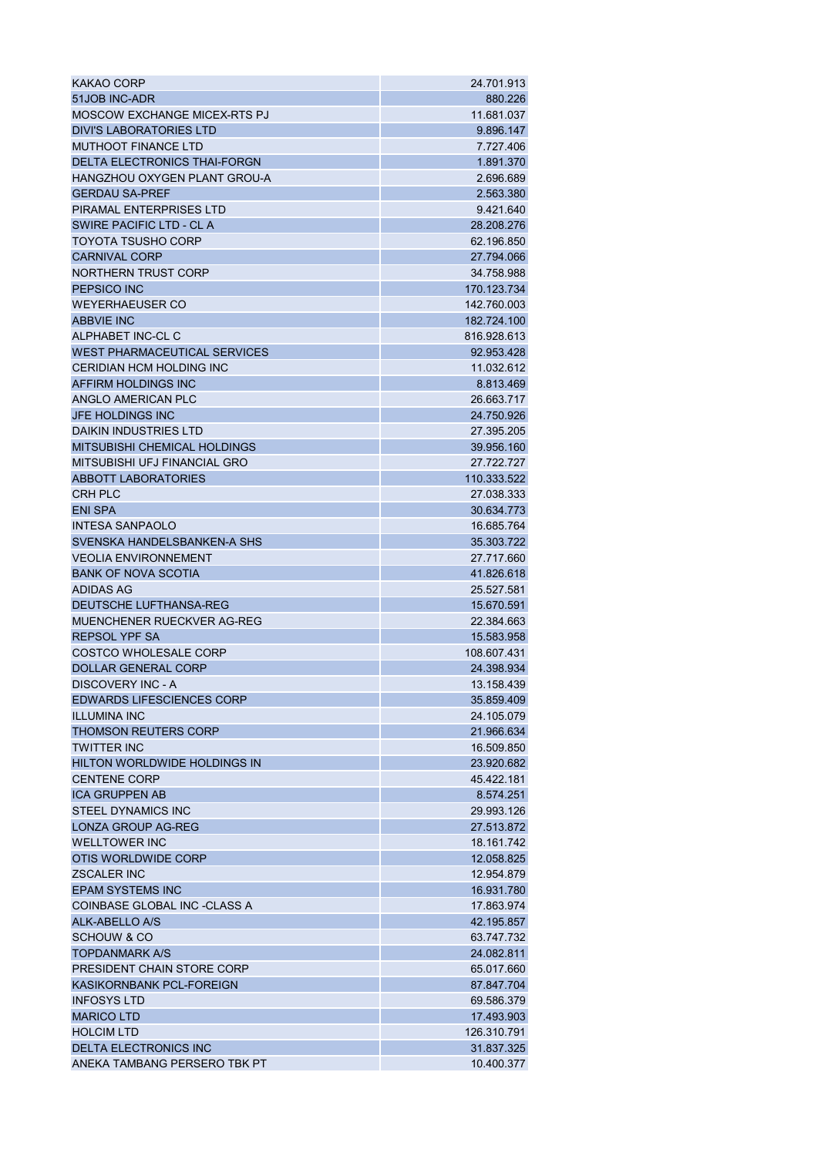| KAKAO CORP                          | 24.701.913  |
|-------------------------------------|-------------|
| 51JOB INC-ADR                       | 880.226     |
| <b>MOSCOW EXCHANGE MICEX-RTS PJ</b> | 11.681.037  |
| DIVI'S LABORATORIES LTD             | 9.896.147   |
| <b>MUTHOOT FINANCE LTD</b>          | 7.727.406   |
| <b>DELTA ELECTRONICS THAI-FORGN</b> | 1.891.370   |
| HANGZHOU OXYGEN PLANT GROU-A        | 2.696.689   |
| <b>GERDAU SA-PREF</b>               | 2.563.380   |
| PIRAMAL ENTERPRISES LTD             | 9.421.640   |
| <b>SWIRE PACIFIC LTD - CLA</b>      | 28.208.276  |
| TOYOTA TSUSHO CORP                  | 62.196.850  |
| <b>CARNIVAL CORP</b>                | 27.794.066  |
| NORTHERN TRUST CORP                 | 34.758.988  |
| <b>PEPSICO INC</b>                  | 170.123.734 |
| <b>WEYERHAEUSER CO</b>              | 142.760.003 |
| <b>ABBVIE INC</b>                   | 182.724.100 |
| ALPHABET INC-CL C                   | 816.928.613 |
| <b>WEST PHARMACEUTICAL SERVICES</b> | 92.953.428  |
| <b>CERIDIAN HCM HOLDING INC</b>     | 11.032.612  |
| AFFIRM HOLDINGS INC                 | 8.813.469   |
| ANGLO AMERICAN PLC                  | 26.663.717  |
| <b>JFE HOLDINGS INC</b>             | 24.750.926  |
| DAIKIN INDUSTRIES LTD               | 27.395.205  |
| MITSUBISHI CHEMICAL HOLDINGS        | 39.956.160  |
| MITSUBISHI UFJ FINANCIAL GRO        | 27.722.727  |
| <b>ABBOTT LABORATORIES</b>          | 110.333.522 |
| <b>CRH PLC</b>                      | 27.038.333  |
| <b>ENI SPA</b>                      | 30.634.773  |
| <b>INTESA SANPAOLO</b>              | 16.685.764  |
| SVENSKA HANDELSBANKEN-A SHS         | 35.303.722  |
| <b>VEOLIA ENVIRONNEMENT</b>         | 27.717.660  |
| <b>BANK OF NOVA SCOTIA</b>          | 41.826.618  |
| <b>ADIDAS AG</b>                    | 25.527.581  |
| DEUTSCHE LUFTHANSA-REG              | 15.670.591  |
| MUENCHENER RUECKVER AG-REG          | 22.384.663  |
| <b>REPSOL YPF SA</b>                | 15.583.958  |
| <b>COSTCO WHOLESALE CORP</b>        | 108.607.431 |
| <b>DOLLAR GENERAL CORP</b>          | 24.398.934  |
| <b>DISCOVERY INC - A</b>            | 13.158.439  |
| <b>EDWARDS LIFESCIENCES CORP</b>    | 35.859.409  |
| <b>ILLUMINA INC</b>                 | 24.105.079  |
| <b>THOMSON REUTERS CORP</b>         | 21.966.634  |
| <b>TWITTER INC</b>                  | 16.509.850  |
| <b>HILTON WORLDWIDE HOLDINGS IN</b> | 23.920.682  |
| <b>CENTENE CORP</b>                 | 45.422.181  |
| <b>ICA GRUPPEN AB</b>               | 8.574.251   |
| <b>STEEL DYNAMICS INC</b>           | 29.993.126  |
| LONZA GROUP AG-REG                  | 27.513.872  |
| <b>WELLTOWER INC</b>                |             |
| OTIS WORLDWIDE CORP                 | 18.161.742  |
|                                     | 12.058.825  |
| <b>ZSCALER INC</b>                  | 12.954.879  |
| <b>EPAM SYSTEMS INC</b>             | 16.931.780  |
| COINBASE GLOBAL INC -CLASS A        | 17.863.974  |
| ALK-ABELLO A/S                      | 42.195.857  |
| <b>SCHOUW &amp; CO</b>              | 63.747.732  |
| <b>TOPDANMARK A/S</b>               | 24.082.811  |
| PRESIDENT CHAIN STORE CORP          | 65.017.660  |
| KASIKORNBANK PCL-FOREIGN            | 87.847.704  |
| <b>INFOSYS LTD</b>                  | 69.586.379  |
| <b>MARICO LTD</b>                   | 17.493.903  |
| <b>HOLCIM LTD</b>                   | 126.310.791 |
| <b>DELTA ELECTRONICS INC</b>        | 31.837.325  |
| ANEKA TAMBANG PERSERO TBK PT        | 10.400.377  |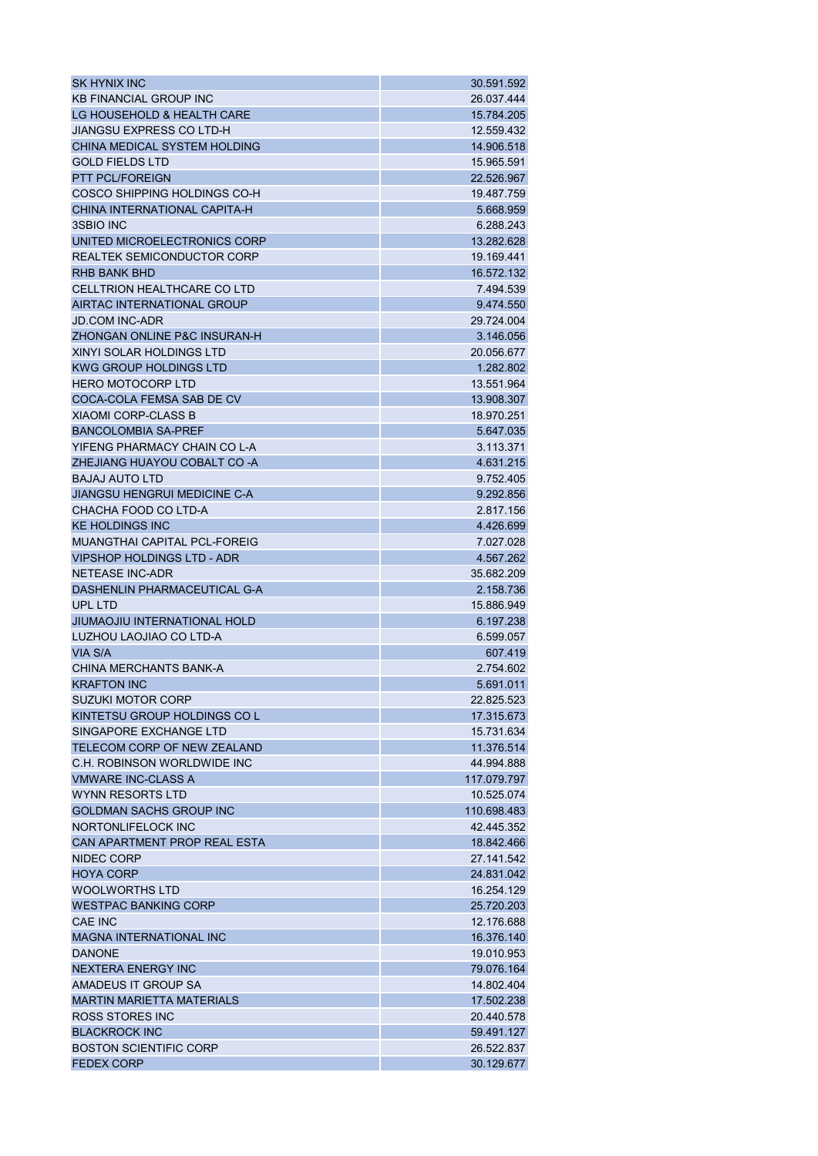| SK HYNIX INC                        | 30.591.592  |
|-------------------------------------|-------------|
| <b>KB FINANCIAL GROUP INC</b>       | 26.037.444  |
| LG HOUSEHOLD & HEALTH CARE          | 15.784.205  |
| <b>JIANGSU EXPRESS CO LTD-H</b>     | 12.559.432  |
| CHINA MEDICAL SYSTEM HOLDING        | 14.906.518  |
| <b>GOLD FIELDS LTD</b>              | 15.965.591  |
| <b>PTT PCL/FOREIGN</b>              | 22.526.967  |
| COSCO SHIPPING HOLDINGS CO-H        | 19.487.759  |
| CHINA INTERNATIONAL CAPITA-H        | 5.668.959   |
| 3SBIO INC                           | 6.288.243   |
| UNITED MICROELECTRONICS CORP        | 13.282.628  |
| <b>REALTEK SEMICONDUCTOR CORP</b>   | 19.169.441  |
| RHB BANK BHD                        | 16.572.132  |
| CELLTRION HEALTHCARE CO LTD         | 7.494.539   |
| AIRTAC INTERNATIONAL GROUP          | 9.474.550   |
| <b>JD.COM INC-ADR</b>               | 29.724.004  |
| ZHONGAN ONLINE P&C INSURAN-H        | 3.146.056   |
| XINYI SOLAR HOLDINGS LTD            | 20.056.677  |
| <b>KWG GROUP HOLDINGS LTD</b>       | 1.282.802   |
| <b>HERO MOTOCORP LTD</b>            | 13.551.964  |
| COCA-COLA FEMSA SAB DE CV           | 13.908.307  |
| <b>XIAOMI CORP-CLASS B</b>          | 18.970.251  |
| <b>BANCOLOMBIA SA-PREF</b>          |             |
|                                     | 5.647.035   |
| YIFENG PHARMACY CHAIN CO L-A        | 3.113.371   |
| ZHEJIANG HUAYOU COBALT CO-A         | 4.631.215   |
| <b>BAJAJ AUTO LTD</b>               | 9.752.405   |
| <b>JIANGSU HENGRUI MEDICINE C-A</b> | 9.292.856   |
| CHACHA FOOD CO LTD-A                | 2.817.156   |
| <b>KE HOLDINGS INC</b>              | 4.426.699   |
| <b>MUANGTHAI CAPITAL PCL-FOREIG</b> | 7.027.028   |
| <b>VIPSHOP HOLDINGS LTD - ADR</b>   | 4.567.262   |
| <b>NETEASE INC-ADR</b>              | 35.682.209  |
| DASHENLIN PHARMACEUTICAL G-A        | 2.158.736   |
| UPL LTD                             | 15.886.949  |
| JIUMAOJIU INTERNATIONAL HOLD        | 6.197.238   |
| LUZHOU LAOJIAO CO LTD-A             | 6.599.057   |
| VIA S/A                             | 607.419     |
| CHINA MERCHANTS BANK-A              | 2.754.602   |
| <b>KRAFTON INC</b>                  | 5.691.011   |
| <b>SUZUKI MOTOR CORP</b>            | 22.825.523  |
| KINTETSU GROUP HOLDINGS CO L        | 17.315.673  |
| SINGAPORE EXCHANGE LTD              | 15.731.634  |
| TELECOM CORP OF NEW ZEALAND         | 11.376.514  |
| C.H. ROBINSON WORLDWIDE INC.        | 44.994.888  |
| <b>VMWARE INC-CLASS A</b>           | 117.079.797 |
| <b>WYNN RESORTS LTD</b>             | 10.525.074  |
| <b>GOLDMAN SACHS GROUP INC</b>      | 110.698.483 |
| NORTONLIFELOCK INC                  | 42.445.352  |
| CAN APARTMENT PROP REAL ESTA        | 18.842.466  |
| NIDEC CORP                          | 27.141.542  |
| <b>HOYA CORP</b>                    | 24.831.042  |
| <b>WOOLWORTHS LTD</b>               | 16.254.129  |
| <b>WESTPAC BANKING CORP</b>         | 25.720.203  |
| <b>CAE INC</b>                      | 12.176.688  |
| <b>MAGNA INTERNATIONAL INC</b>      | 16,376.140  |
| <b>DANONE</b>                       | 19.010.953  |
| NEXTERA ENERGY INC                  | 79.076.164  |
| AMADEUS IT GROUP SA                 | 14.802.404  |
| <b>MARTIN MARIETTA MATERIALS</b>    | 17.502.238  |
| <b>ROSS STORES INC</b>              | 20.440.578  |
| <b>BLACKROCK INC</b>                | 59.491.127  |
| <b>BOSTON SCIENTIFIC CORP</b>       | 26.522.837  |
| <b>FEDEX CORP</b>                   | 30.129.677  |